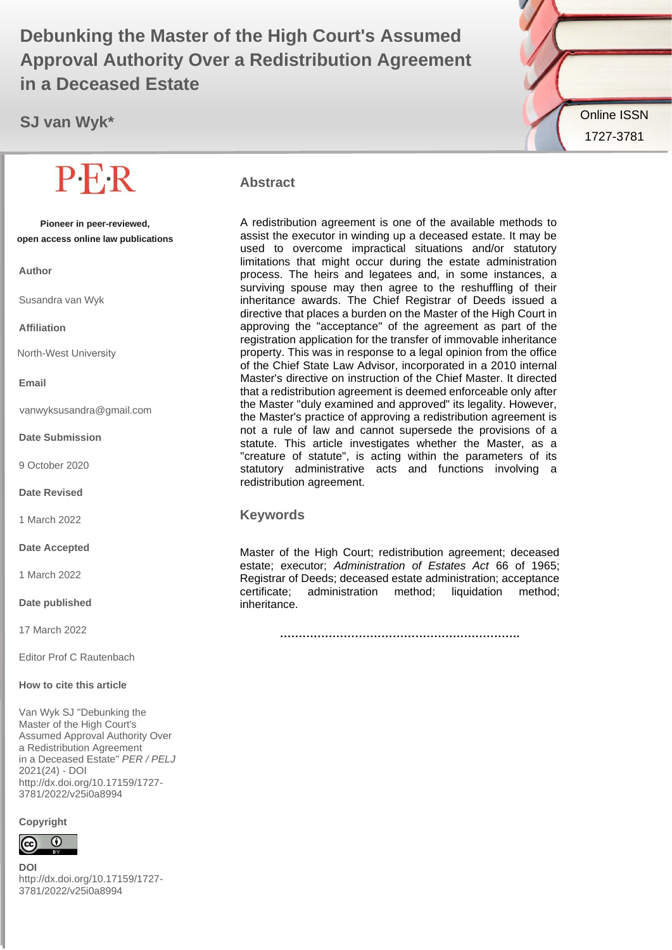# **Debunking the Master of the High Court's Assumed William Approval Authority Over a Redistribution Agreement in a Deceased Estate**

**SJ van Wyk\***

**Pioneer in peer-reviewed, open access online law publications**

**Author**

Susandra van Wyk

#### **Affiliation**

North-West University

#### **Email**

vanwyksusandra@gmail.com

**Date Submission**

9 October 2020

**Date Revised**

1 March 2022

**Date Accepted**

1 March 2022

**Date published**

17 March 2022

Editor Prof C Rautenbach

#### **How to cite this article**

Van Wyk SJ "Debunking the Master of the High Court's Assumed Approval Authority Over a Redistribution Agreement in a Deceased Estate" *PER / PELJ* 2021(24) - DOI http://dx.doi.org/10.17159/1727- 3781/2022/v25i0a8994

#### **Copyright**



**DOI**  http://dx.doi.org/10.17159/1727- 3781/2022/v25i0a8994



#### **Abstract**

A redistribution agreement is one of the available methods to assist the executor in winding up a deceased estate. It may be used to overcome impractical situations and/or statutory limitations that might occur during the estate administration process. The heirs and legatees and, in some instances, a surviving spouse may then agree to the reshuffling of their inheritance awards. The Chief Registrar of Deeds issued a directive that places a burden on the Master of the High Court in approving the "acceptance" of the agreement as part of the registration application for the transfer of immovable inheritance property. This was in response to a legal opinion from the office of the Chief State Law Advisor, incorporated in a 2010 internal Master's directive on instruction of the Chief Master. It directed that a redistribution agreement is deemed enforceable only after the Master "duly examined and approved" its legality. However, the Master's practice of approving a redistribution agreement is not a rule of law and cannot supersede the provisions of a statute. This article investigates whether the Master, as a "creature of statute", is acting within the parameters of its statutory administrative acts and functions involving a redistribution agreement.

#### **Keywords**

Master of the High Court; redistribution agreement; deceased estate; executor; *Administration of Estates Act* 66 of 1965; Registrar of Deeds; deceased estate administration; acceptance certificate; administration method; liquidation method; inheritance.

**……………………………………………………….**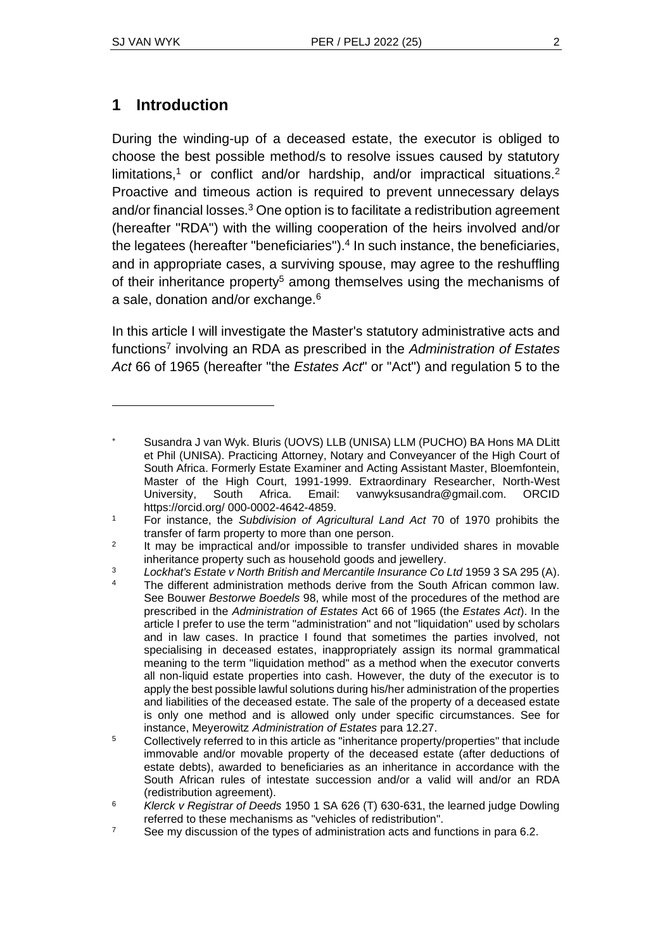# **1 Introduction**

During the winding-up of a deceased estate, the executor is obliged to choose the best possible method/s to resolve issues caused by statutory limitations,<sup>1</sup> or conflict and/or hardship, and/or impractical situations.<sup>2</sup> Proactive and timeous action is required to prevent unnecessary delays and/or financial losses.<sup>3</sup> One option is to facilitate a redistribution agreement (hereafter "RDA") with the willing cooperation of the heirs involved and/or the legatees (hereafter "beneficiaries").<sup>4</sup> In such instance, the beneficiaries, and in appropriate cases, a surviving spouse, may agree to the reshuffling of their inheritance property<sup>5</sup> among themselves using the mechanisms of a sale, donation and/or exchange.<sup>6</sup>

In this article I will investigate the Master's statutory administrative acts and functions 7 involving an RDA as prescribed in the *Administration of Estates Act* 66 of 1965 (hereafter "the *Estates Act*" or "Act") and regulation 5 to the

- The different administration methods derive from the South African common law. See Bouwer *Bestorwe Boedels* 98, while most of the procedures of the method are prescribed in the *Administration of Estates* Act 66 of 1965 (the *Estates Act*). In the article I prefer to use the term "administration" and not "liquidation" used by scholars and in law cases. In practice I found that sometimes the parties involved, not specialising in deceased estates, inappropriately assign its normal grammatical meaning to the term "liquidation method" as a method when the executor converts all non-liquid estate properties into cash. However, the duty of the executor is to apply the best possible lawful solutions during his/her administration of the properties and liabilities of the deceased estate. The sale of the property of a deceased estate is only one method and is allowed only under specific circumstances. See for instance, Meyerowitz *Administration of Estates* para 12.27.
- $5$  Collectively referred to in this article as "inheritance property/properties" that include immovable and/or movable property of the deceased estate (after deductions of estate debts), awarded to beneficiaries as an inheritance in accordance with the South African rules of intestate succession and/or a valid will and/or an RDA (redistribution agreement).
- <sup>6</sup> *Klerck v Registrar of Deeds* 1950 1 SA 626 (T) 630-631, the learned judge Dowling referred to these mechanisms as "vehicles of redistribution".
- $7$  See my discussion of the types of administration acts and functions in para 6.2.

Susandra J van Wyk. BIuris (UOVS) LLB (UNISA) LLM (PUCHO) BA Hons MA DLitt et Phil (UNISA). Practicing Attorney, Notary and Conveyancer of the High Court of South Africa. Formerly Estate Examiner and Acting Assistant Master, Bloemfontein, Master of the High Court, 1991-1999. Extraordinary Researcher, North-West University, South Africa. Email: vanwyksusandra@gmail.com. ORCID https://orcid.org/ 000-0002-4642-4859.

<sup>1</sup> For instance, the *Subdivision of Agricultural Land Act* 70 of 1970 prohibits the transfer of farm property to more than one person.

 $\overline{2}$ It may be impractical and/or impossible to transfer undivided shares in movable inheritance property such as household goods and jewellery.

<sup>&</sup>lt;sup>3</sup> *Lockhat's Estate v North British and Mercantile Insurance Co Ltd* 1959 3 SA 295 (A).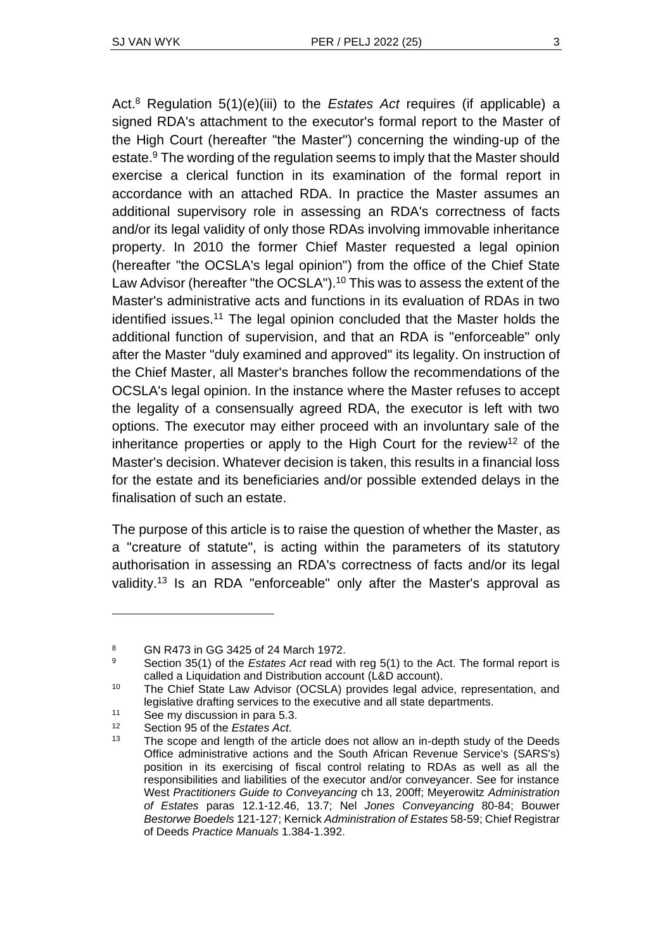Act.<sup>8</sup> Regulation 5(1)(e)(iii) to the *Estates Act* requires (if applicable) a signed RDA's attachment to the executor's formal report to the Master of the High Court (hereafter "the Master") concerning the winding-up of the estate.<sup>9</sup> The wording of the regulation seems to imply that the Master should exercise a clerical function in its examination of the formal report in accordance with an attached RDA. In practice the Master assumes an additional supervisory role in assessing an RDA's correctness of facts and/or its legal validity of only those RDAs involving immovable inheritance property. In 2010 the former Chief Master requested a legal opinion (hereafter "the OCSLA's legal opinion") from the office of the Chief State Law Advisor (hereafter "the OCSLA").<sup>10</sup> This was to assess the extent of the Master's administrative acts and functions in its evaluation of RDAs in two identified issues.<sup>11</sup> The legal opinion concluded that the Master holds the additional function of supervision, and that an RDA is "enforceable" only after the Master "duly examined and approved" its legality. On instruction of the Chief Master, all Master's branches follow the recommendations of the OCSLA's legal opinion. In the instance where the Master refuses to accept the legality of a consensually agreed RDA, the executor is left with two options. The executor may either proceed with an involuntary sale of the inheritance properties or apply to the High Court for the review<sup>12</sup> of the Master's decision. Whatever decision is taken, this results in a financial loss for the estate and its beneficiaries and/or possible extended delays in the finalisation of such an estate.

The purpose of this article is to raise the question of whether the Master, as a "creature of statute", is acting within the parameters of its statutory authorisation in assessing an RDA's correctness of facts and/or its legal validity.<sup>13</sup> Is an RDA "enforceable" only after the Master's approval as

<sup>8</sup> GN R473 in GG 3425 of 24 March 1972.

<sup>9</sup> Section 35(1) of the *Estates Act* read with reg 5(1) to the Act. The formal report is called a Liquidation and Distribution account (L&D account).

<sup>&</sup>lt;sup>10</sup> The Chief State Law Advisor (OCSLA) provides legal advice, representation, and legislative drafting services to the executive and all state departments.

<sup>&</sup>lt;sup>11</sup> See my discussion in para 5.3.

<sup>12</sup> Section 95 of the *Estates Act*.

The scope and length of the article does not allow an in-depth study of the Deeds Office administrative actions and the South African Revenue Service's (SARS's) position in its exercising of fiscal control relating to RDAs as well as all the responsibilities and liabilities of the executor and/or conveyancer. See for instance West *Practitioners Guide to Conveyancing* ch 13, 200ff; Meyerowitz *Administration of Estates* paras 12.1-12.46, 13.7; Nel *Jones Conveyancing* 80-84; Bouwer *Bestorwe Boedels* 121-127; Kernick *Administration of Estates* 58-59; Chief Registrar of Deeds *Practice Manuals* 1.384-1.392.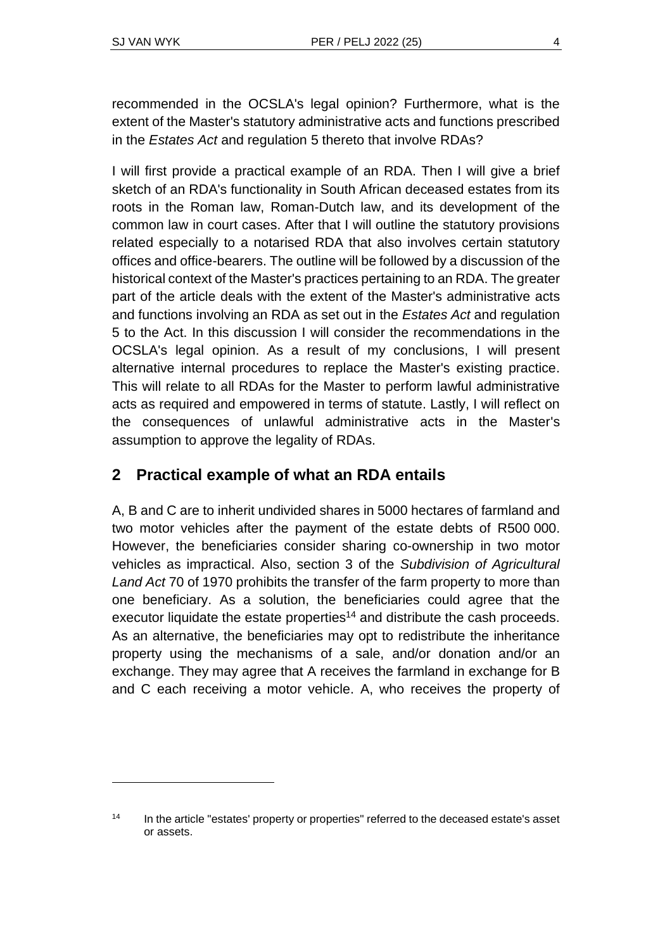recommended in the OCSLA's legal opinion? Furthermore, what is the extent of the Master's statutory administrative acts and functions prescribed in the *Estates Act* and regulation 5 thereto that involve RDAs?

I will first provide a practical example of an RDA. Then I will give a brief sketch of an RDA's functionality in South African deceased estates from its roots in the Roman law, Roman-Dutch law, and its development of the common law in court cases. After that I will outline the statutory provisions related especially to a notarised RDA that also involves certain statutory offices and office-bearers. The outline will be followed by a discussion of the historical context of the Master's practices pertaining to an RDA. The greater part of the article deals with the extent of the Master's administrative acts and functions involving an RDA as set out in the *Estates Act* and regulation 5 to the Act. In this discussion I will consider the recommendations in the OCSLA's legal opinion. As a result of my conclusions, I will present alternative internal procedures to replace the Master's existing practice. This will relate to all RDAs for the Master to perform lawful administrative acts as required and empowered in terms of statute. Lastly, I will reflect on the consequences of unlawful administrative acts in the Master's assumption to approve the legality of RDAs.

# **2 Practical example of what an RDA entails**

A, B and C are to inherit undivided shares in 5000 hectares of farmland and two motor vehicles after the payment of the estate debts of R500 000. However, the beneficiaries consider sharing co-ownership in two motor vehicles as impractical. Also, section 3 of the *Subdivision of Agricultural Land Act* 70 of 1970 prohibits the transfer of the farm property to more than one beneficiary. As a solution, the beneficiaries could agree that the executor liquidate the estate properties<sup>14</sup> and distribute the cash proceeds. As an alternative, the beneficiaries may opt to redistribute the inheritance property using the mechanisms of a sale, and/or donation and/or an exchange. They may agree that A receives the farmland in exchange for B and C each receiving a motor vehicle. A, who receives the property of

<sup>&</sup>lt;sup>14</sup> In the article "estates' property or properties" referred to the deceased estate's asset or assets.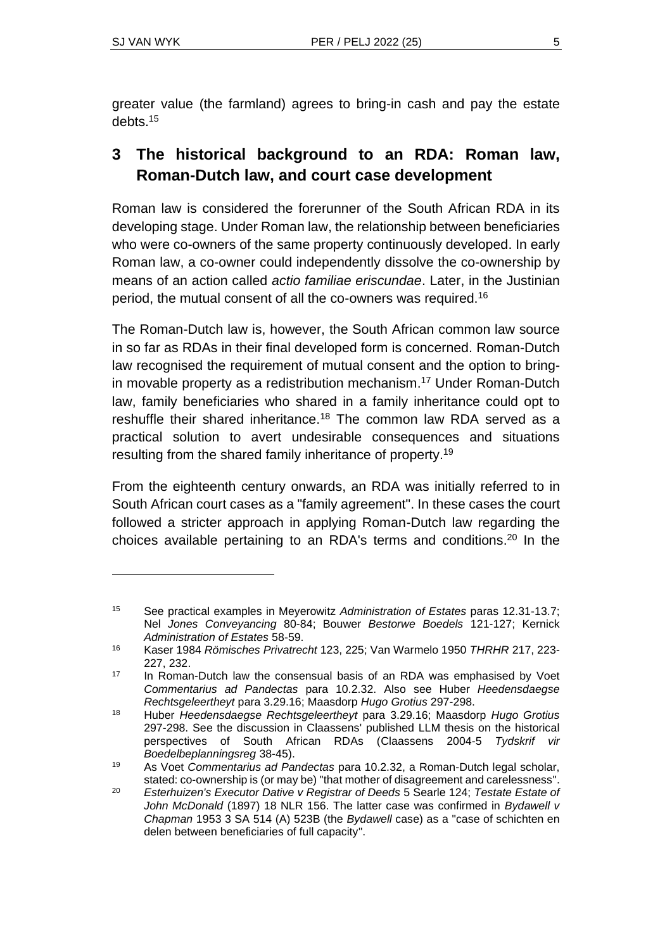greater value (the farmland) agrees to bring-in cash and pay the estate debts. 15

# **3 The historical background to an RDA: Roman law, Roman-Dutch law, and court case development**

Roman law is considered the forerunner of the South African RDA in its developing stage. Under Roman law, the relationship between beneficiaries who were co-owners of the same property continuously developed. In early Roman law, a co-owner could independently dissolve the co-ownership by means of an action called *actio familiae eriscundae*. Later, in the Justinian period, the mutual consent of all the co-owners was required.<sup>16</sup>

The Roman-Dutch law is, however, the South African common law source in so far as RDAs in their final developed form is concerned. Roman-Dutch law recognised the requirement of mutual consent and the option to bringin movable property as a redistribution mechanism. <sup>17</sup> Under Roman-Dutch law, family beneficiaries who shared in a family inheritance could opt to reshuffle their shared inheritance.<sup>18</sup> The common law RDA served as a practical solution to avert undesirable consequences and situations resulting from the shared family inheritance of property.<sup>19</sup>

From the eighteenth century onwards, an RDA was initially referred to in South African court cases as a "family agreement". In these cases the court followed a stricter approach in applying Roman-Dutch law regarding the choices available pertaining to an RDA's terms and conditions. <sup>20</sup> In the

<sup>15</sup> See practical examples in Meyerowitz *Administration of Estates* paras 12.31-13.7; Nel *Jones Conveyancing* 80-84; Bouwer *Bestorwe Boedels* 121-127; Kernick *Administration of Estates* 58-59.

<sup>16</sup> Kaser 1984 *Römisches Privatrecht* 123, 225; Van Warmelo 1950 *THRHR* 217, 223- 227, 232.

<sup>&</sup>lt;sup>17</sup> In Roman-Dutch law the consensual basis of an RDA was emphasised by Voet *Commentarius ad Pandectas* para 10.2.32. Also see Huber *Heedensdaegse Rechtsgeleertheyt* para 3.29.16; Maasdorp *Hugo Grotius* 297-298.

<sup>18</sup> Huber *Heedensdaegse Rechtsgeleertheyt* para 3.29.16; Maasdorp *Hugo Grotius* 297-298. See the discussion in Claassens' published LLM thesis on the historical perspectives of South African RDAs (Claassens 2004-5 *Tydskrif vir Boedelbeplanningsreg* 38-45).

<sup>19</sup> As Voet *Commentarius ad Pandectas* para 10.2.32, a Roman-Dutch legal scholar, stated: co-ownership is (or may be) "that mother of disagreement and carelessness".

<sup>20</sup> *Esterhuizen's Executor Dative v Registrar of Deeds* 5 Searle 124; *Testate Estate of John McDonald* (1897) 18 NLR 156. The latter case was confirmed in *Bydawell v Chapman* 1953 3 SA 514 (A) 523B (the *Bydawell* case) as a "case of schichten en delen between beneficiaries of full capacity".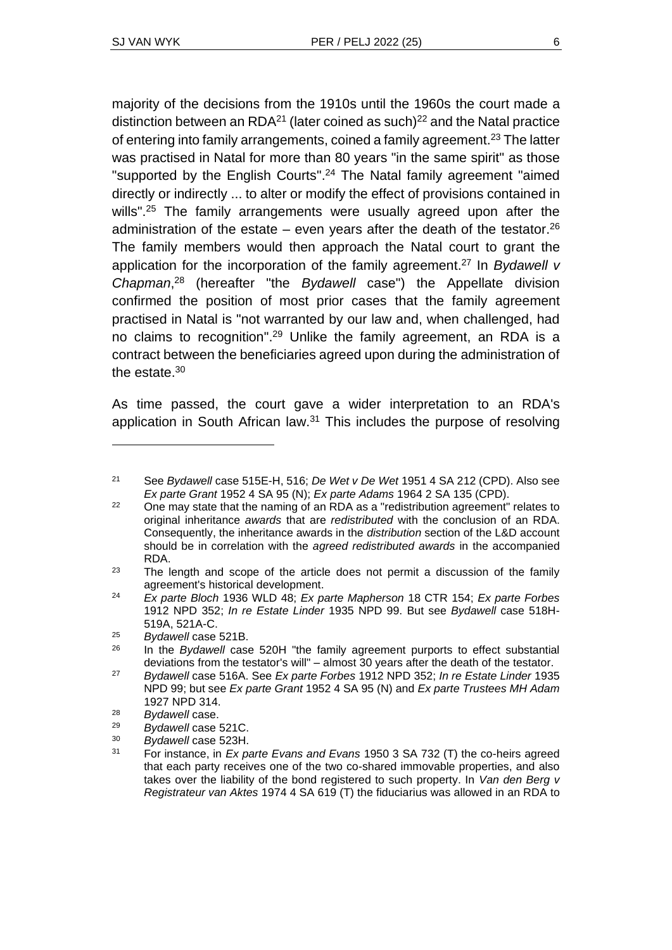the estate. $30$ 

majority of the decisions from the 1910s until the 1960s the court made a distinction between an  $RDA^{21}$  (later coined as such)<sup>22</sup> and the Natal practice of entering into family arrangements, coined a family agreement.<sup>23</sup> The latter was practised in Natal for more than 80 years "in the same spirit" as those "supported by the English Courts". <sup>24</sup> The Natal family agreement "aimed directly or indirectly ... to alter or modify the effect of provisions contained in wills".<sup>25</sup> The family arrangements were usually agreed upon after the administration of the estate  $-$  even years after the death of the testator.<sup>26</sup> The family members would then approach the Natal court to grant the application for the incorporation of the family agreement. <sup>27</sup> In *Bydawell v Chapman*, <sup>28</sup> (hereafter "the *Bydawell* case") the Appellate division confirmed the position of most prior cases that the family agreement practised in Natal is "not warranted by our law and, when challenged, had no claims to recognition". <sup>29</sup> Unlike the family agreement, an RDA is a contract between the beneficiaries agreed upon during the administration of

As time passed, the court gave a wider interpretation to an RDA's application in South African law.<sup>31</sup> This includes the purpose of resolving

<sup>21</sup> See *Bydawell* case 515E-H, 516; *De Wet v De Wet* 1951 4 SA 212 (CPD). Also see *Ex parte Grant* 1952 4 SA 95 (N); *Ex parte Adams* 1964 2 SA 135 (CPD).

 $22$  One may state that the naming of an RDA as a "redistribution agreement" relates to original inheritance *awards* that are *redistributed* with the conclusion of an RDA. Consequently, the inheritance awards in the *distribution* section of the L&D account should be in correlation with the *agreed redistributed awards* in the accompanied RDA.

 $23$  The length and scope of the article does not permit a discussion of the family agreement's historical development.

<sup>24</sup> *Ex parte Bloch* 1936 WLD 48; *Ex parte Mapherson* 18 CTR 154; *Ex parte Forbes* 1912 NPD 352; *In re Estate Linder* 1935 NPD 99. But see *Bydawell* case 518H-519A, 521A-C.

<sup>25</sup> *Bydawell* case 521B.

<sup>26</sup> In the *Bydawell* case 520H "the family agreement purports to effect substantial deviations from the testator's will" – almost 30 years after the death of the testator.

<sup>27</sup> *Bydawell* case 516A. See *Ex parte Forbes* 1912 NPD 352; *In re Estate Linder* 1935 NPD 99; but see *Ex parte Grant* 1952 4 SA 95 (N) and *Ex parte Trustees MH Adam*  1927 NPD 314.

<sup>&</sup>lt;sup>28</sup> *Bydawell* case.

<sup>29</sup> *Bydawell* case 521C.

<sup>30</sup> *Bydawell* case 523H.

<sup>31</sup> For instance, in *Ex parte Evans and Evans* 1950 3 SA 732 (T) the co-heirs agreed that each party receives one of the two co-shared immovable properties, and also takes over the liability of the bond registered to such property. In *Van den Berg v Registrateur van Aktes* 1974 4 SA 619 (T) the fiduciarius was allowed in an RDA to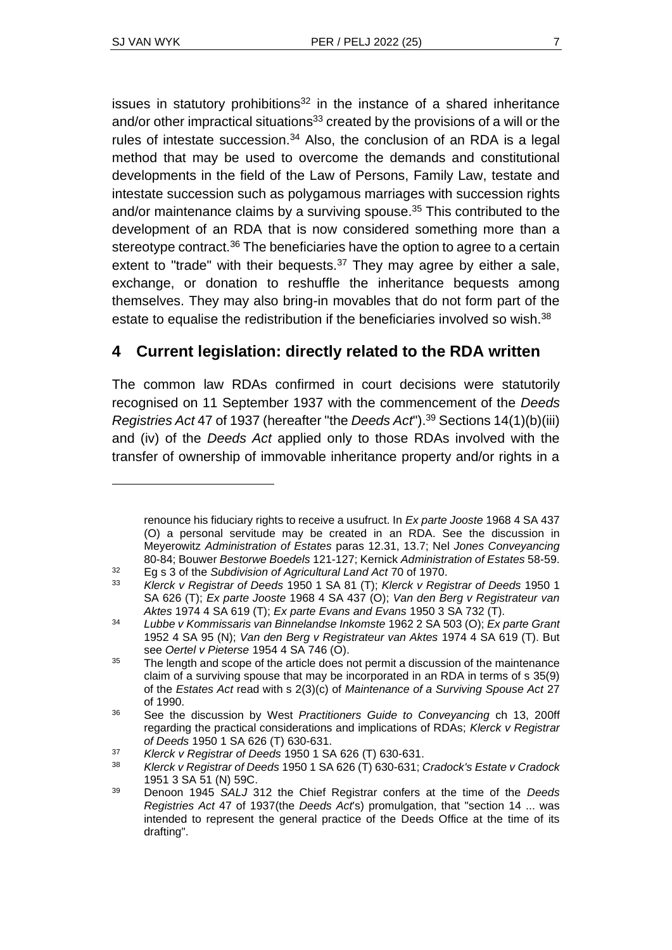issues in statutory prohibitions $32$  in the instance of a shared inheritance and/or other impractical situations<sup>33</sup> created by the provisions of a will or the rules of intestate succession. $34$  Also, the conclusion of an RDA is a legal method that may be used to overcome the demands and constitutional developments in the field of the Law of Persons, Family Law, testate and intestate succession such as polygamous marriages with succession rights and/or maintenance claims by a surviving spouse. <sup>35</sup> This contributed to the development of an RDA that is now considered something more than a stereotype contract.<sup>36</sup> The beneficiaries have the option to agree to a certain extent to "trade" with their bequests. $37$  They may agree by either a sale, exchange, or donation to reshuffle the inheritance bequests among themselves. They may also bring-in movables that do not form part of the estate to equalise the redistribution if the beneficiaries involved so wish.<sup>38</sup>

# **4 Current legislation: directly related to the RDA written**

The common law RDAs confirmed in court decisions were statutorily recognised on 11 September 1937 with the commencement of the *Deeds Registries Act* 47 of 1937 (hereafter "the *Deeds Act*"). <sup>39</sup> Sections 14(1)(b)(iii) and (iv) of the *Deeds Act* applied only to those RDAs involved with the transfer of ownership of immovable inheritance property and/or rights in a

renounce his fiduciary rights to receive a usufruct. In *Ex parte Jooste* 1968 4 SA 437 (O) a personal servitude may be created in an RDA. See the discussion in Meyerowitz *Administration of Estates* paras 12.31, 13.7; Nel *Jones Conveyancing* 80-84; Bouwer *Bestorwe Boedels* 121-127; Kernick *Administration of Estates* 58-59.

<sup>32</sup> Eg s 3 of the *Subdivision of Agricultural Land Act* 70 of 1970.

<sup>33</sup> *Klerck v Registrar of Deeds* 1950 1 SA 81 (T); *Klerck v Registrar of Deeds* 1950 1 SA 626 (T); *Ex parte Jooste* 1968 4 SA 437 (O); *Van den Berg v Registrateur van Aktes* 1974 4 SA 619 (T); *Ex parte Evans and Evans* 1950 3 SA 732 (T).

<sup>34</sup> *Lubbe v Kommissaris van Binnelandse Inkomste* 1962 2 SA 503 (O); *Ex parte Grant* 1952 4 SA 95 (N); *Van den Berg v Registrateur van Aktes* 1974 4 SA 619 (T). But see *Oertel v Pieterse* 1954 4 SA 746 (O).

 $35$  The length and scope of the article does not permit a discussion of the maintenance claim of a surviving spouse that may be incorporated in an RDA in terms of s 35(9) of the *Estates Act* read with s 2(3)(c) of *Maintenance of a Surviving Spouse Act* 27 of 1990.

<sup>36</sup> See the discussion by West *Practitioners Guide to Conveyancing* ch 13, 200ff regarding the practical considerations and implications of RDAs; *Klerck v Registrar of Deeds* 1950 1 SA 626 (T) 630-631.

<sup>37</sup> *Klerck v Registrar of Deeds* 1950 1 SA 626 (T) 630-631.

<sup>38</sup> *Klerck v Registrar of Deeds* 1950 1 SA 626 (T) 630-631; *Cradock's Estate v Cradock* 1951 3 SA 51 (N) 59C.

<sup>39</sup> Denoon 1945 *SALJ* 312 the Chief Registrar confers at the time of the *Deeds Registries Act* 47 of 1937(the *Deeds Act*'s) promulgation, that "section 14 ... was intended to represent the general practice of the Deeds Office at the time of its drafting".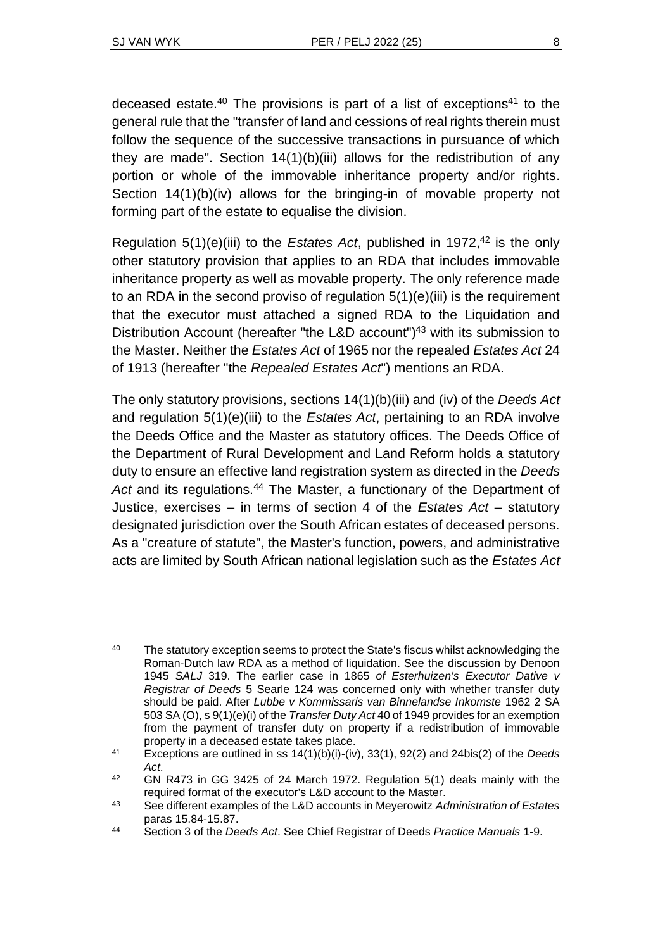deceased estate.<sup>40</sup> The provisions is part of a list of exceptions<sup>41</sup> to the general rule that the "transfer of land and cessions of real rights therein must follow the sequence of the successive transactions in pursuance of which they are made". Section 14(1)(b)(iii) allows for the redistribution of any portion or whole of the immovable inheritance property and/or rights. Section 14(1)(b)(iv) allows for the bringing-in of movable property not forming part of the estate to equalise the division.

Regulation 5(1)(e)(iii) to the *Estates Act*, published in 1972, <sup>42</sup> is the only other statutory provision that applies to an RDA that includes immovable inheritance property as well as movable property. The only reference made to an RDA in the second proviso of regulation 5(1)(e)(iii) is the requirement that the executor must attached a signed RDA to the Liquidation and Distribution Account (hereafter "the L&D account") <sup>43</sup> with its submission to the Master. Neither the *Estates Act* of 1965 nor the repealed *Estates Act* 24 of 1913 (hereafter "the *Repealed Estates Act*") mentions an RDA.

The only statutory provisions, sections 14(1)(b)(iii) and (iv) of the *Deeds Act* and regulation 5(1)(e)(iii) to the *Estates Act*, pertaining to an RDA involve the Deeds Office and the Master as statutory offices. The Deeds Office of the Department of Rural Development and Land Reform holds a statutory duty to ensure an effective land registration system as directed in the *Deeds*  Act and its regulations.<sup>44</sup> The Master, a functionary of the Department of Justice, exercises – in terms of section 4 of the *Estates Act* – statutory designated jurisdiction over the South African estates of deceased persons. As a "creature of statute", the Master's function, powers, and administrative acts are limited by South African national legislation such as the *Estates Act*

<sup>&</sup>lt;sup>40</sup> The statutory exception seems to protect the State's fiscus whilst acknowledging the Roman-Dutch law RDA as a method of liquidation. See the discussion by Denoon 1945 *SALJ* 319. The earlier case in 1865 *of Esterhuizen's Executor Dative v Registrar of Deeds* 5 Searle 124 was concerned only with whether transfer duty should be paid. After *Lubbe v Kommissaris van Binnelandse Inkomste* 1962 2 SA 503 SA (O), s 9(1)(e)(i) of the *Transfer Duty Act* 40 of 1949 provides for an exemption from the payment of transfer duty on property if a redistribution of immovable property in a deceased estate takes place.

<sup>41</sup> Exceptions are outlined in ss 14(1)(b)(i)-(iv), 33(1), 92(2) and 24bis(2) of the *Deeds Act*.

<sup>42</sup> GN R473 in GG 3425 of 24 March 1972. Regulation 5(1) deals mainly with the required format of the executor's L&D account to the Master.

<sup>43</sup> See different examples of the L&D accounts in Meyerowitz *Administration of Estates* paras 15.84-15.87.

<sup>44</sup> Section 3 of the *Deeds Act*. See Chief Registrar of Deeds *Practice Manuals* 1-9.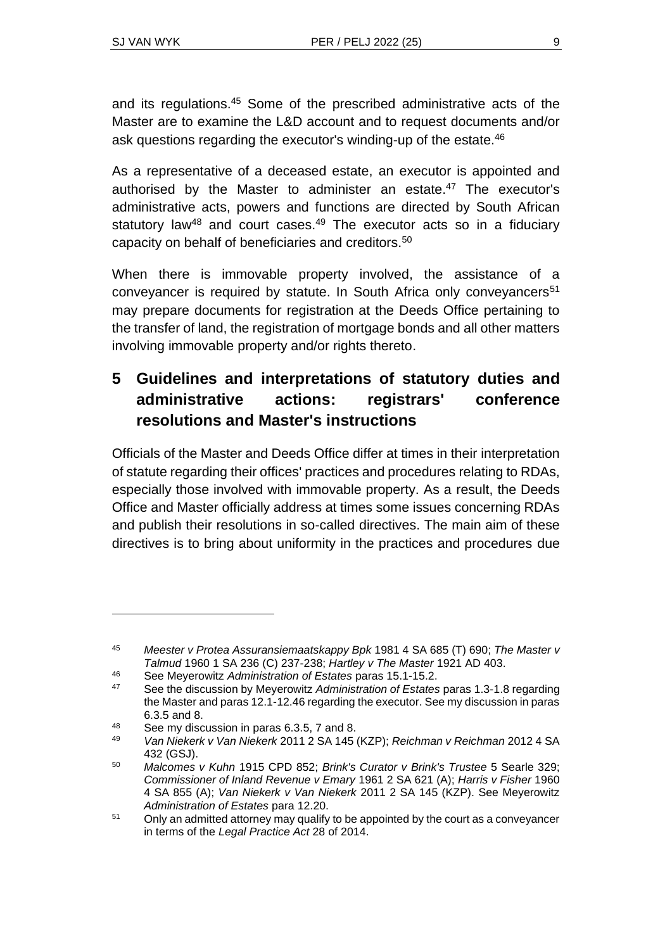and its regulations.<sup>45</sup> Some of the prescribed administrative acts of the Master are to examine the L&D account and to request documents and/or ask questions regarding the executor's winding-up of the estate.<sup>46</sup>

As a representative of a deceased estate, an executor is appointed and authorised by the Master to administer an estate.<sup>47</sup> The executor's administrative acts, powers and functions are directed by South African statutory law<sup>48</sup> and court cases.<sup>49</sup> The executor acts so in a fiduciary capacity on behalf of beneficiaries and creditors.<sup>50</sup>

When there is immovable property involved, the assistance of a conveyancer is required by statute. In South Africa only conveyancers<sup>51</sup> may prepare documents for registration at the Deeds Office pertaining to the transfer of land, the registration of mortgage bonds and all other matters involving immovable property and/or rights thereto.

# **5 Guidelines and interpretations of statutory duties and administrative actions: registrars' conference resolutions and Master's instructions**

Officials of the Master and Deeds Office differ at times in their interpretation of statute regarding their offices' practices and procedures relating to RDAs, especially those involved with immovable property. As a result, the Deeds Office and Master officially address at times some issues concerning RDAs and publish their resolutions in so-called directives. The main aim of these directives is to bring about uniformity in the practices and procedures due

<sup>45</sup> *Meester v Protea Assuransiemaatskappy Bpk* 1981 4 SA 685 (T) 690; *The Master v Talmud* 1960 1 SA 236 (C) 237-238; *Hartley v The Master* 1921 AD 403.

<sup>46</sup> See Meyerowitz *Administration of Estates* paras 15.1-15.2.

<sup>47</sup> See the discussion by Meyerowitz *Administration of Estates* paras 1.3-1.8 regarding the Master and paras 12.1-12.46 regarding the executor. See my discussion in paras 6.3.5 and 8.

<sup>48</sup> See my discussion in paras 6.3.5, 7 and 8.<br> $\frac{48}{100}$  Men Miglants V an Miglant 2014.2.5 b 4.445

<sup>49</sup> *Van Niekerk v Van Niekerk* 2011 2 SA 145 (KZP); *Reichman v Reichman* 2012 4 SA 432 (GSJ).

<sup>50</sup> *Malcomes v Kuhn* 1915 CPD 852; *Brink's Curator v Brink's Trustee* 5 Searle 329; *Commissioner of Inland Revenue v Emary* 1961 2 SA 621 (A); *Harris v Fisher* 1960 4 SA 855 (A); *Van Niekerk v Van Niekerk* 2011 2 SA 145 (KZP). See Meyerowitz *Administration of Estates* para 12.20.

<sup>&</sup>lt;sup>51</sup> Only an admitted attorney may qualify to be appointed by the court as a conveyancer in terms of the *Legal Practice Act* 28 of 2014.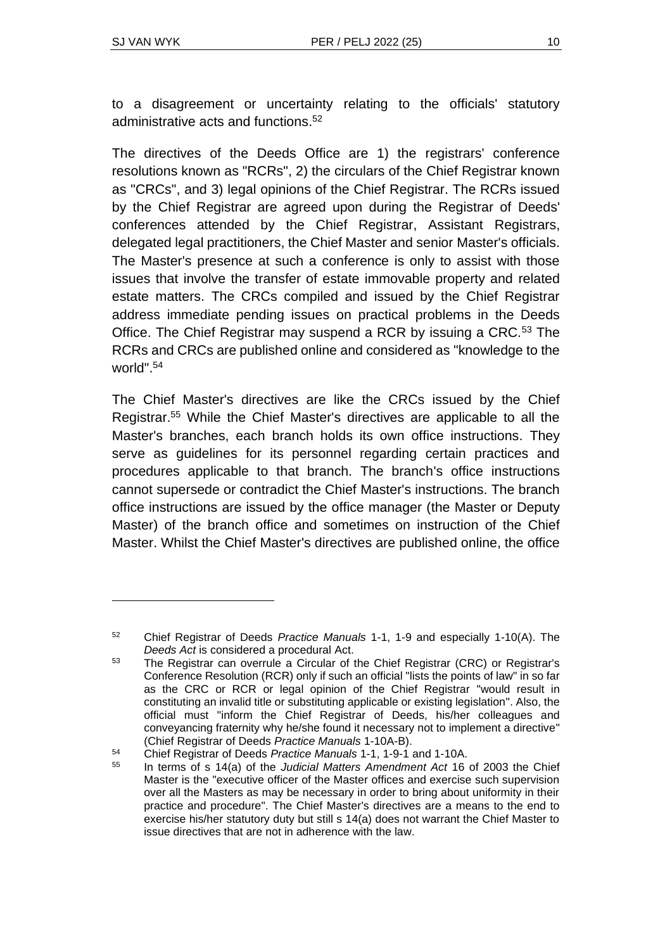to a disagreement or uncertainty relating to the officials' statutory administrative acts and functions. 52

The directives of the Deeds Office are 1) the registrars' conference resolutions known as "RCRs", 2) the circulars of the Chief Registrar known as "CRCs", and 3) legal opinions of the Chief Registrar. The RCRs issued by the Chief Registrar are agreed upon during the Registrar of Deeds' conferences attended by the Chief Registrar, Assistant Registrars, delegated legal practitioners, the Chief Master and senior Master's officials. The Master's presence at such a conference is only to assist with those issues that involve the transfer of estate immovable property and related estate matters. The CRCs compiled and issued by the Chief Registrar address immediate pending issues on practical problems in the Deeds Office. The Chief Registrar may suspend a RCR by issuing a CRC.<sup>53</sup> The RCRs and CRCs are published online and considered as "knowledge to the world". 54

The Chief Master's directives are like the CRCs issued by the Chief Registrar. <sup>55</sup> While the Chief Master's directives are applicable to all the Master's branches, each branch holds its own office instructions. They serve as guidelines for its personnel regarding certain practices and procedures applicable to that branch. The branch's office instructions cannot supersede or contradict the Chief Master's instructions. The branch office instructions are issued by the office manager (the Master or Deputy Master) of the branch office and sometimes on instruction of the Chief Master. Whilst the Chief Master's directives are published online, the office

<sup>52</sup> Chief Registrar of Deeds *Practice Manuals* 1-1, 1-9 and especially 1-10(A). The *Deeds Act* is considered a procedural Act.

<sup>53</sup> The Registrar can overrule a Circular of the Chief Registrar (CRC) or Registrar's Conference Resolution (RCR) only if such an official "lists the points of law" in so far as the CRC or RCR or legal opinion of the Chief Registrar "would result in constituting an invalid title or substituting applicable or existing legislation". Also, the official must "inform the Chief Registrar of Deeds, his/her colleagues and conveyancing fraternity why he/she found it necessary not to implement a directive" (Chief Registrar of Deeds *Practice Manuals* 1-10A-B).

<sup>54</sup> Chief Registrar of Deeds *Practice Manuals* 1-1, 1-9-1 and 1-10A.

<sup>55</sup> In terms of s 14(a) of the *Judicial Matters Amendment Act* 16 of 2003 the Chief Master is the "executive officer of the Master offices and exercise such supervision over all the Masters as may be necessary in order to bring about uniformity in their practice and procedure". The Chief Master's directives are a means to the end to exercise his/her statutory duty but still s 14(a) does not warrant the Chief Master to issue directives that are not in adherence with the law.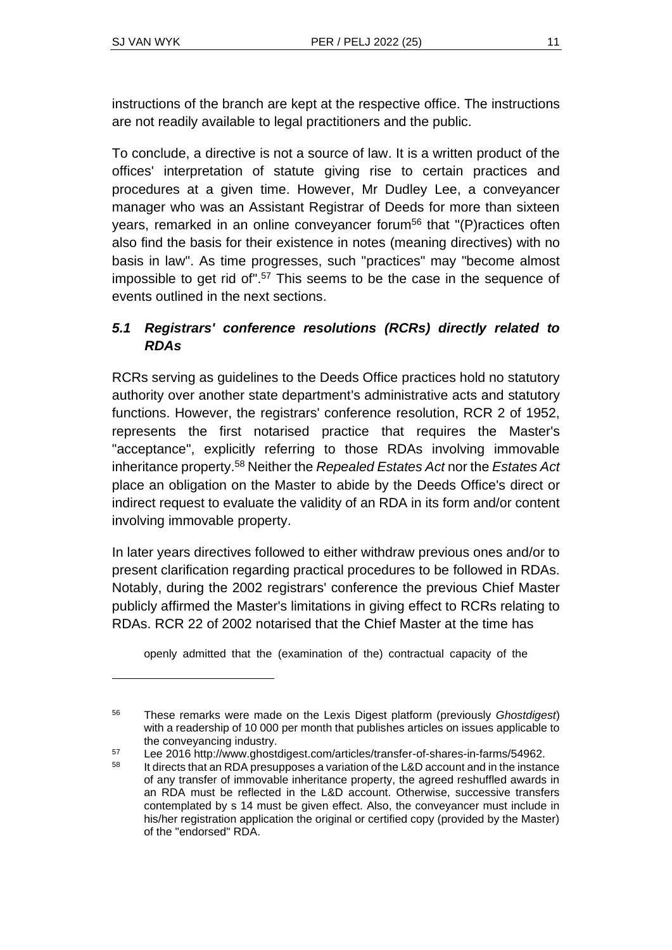instructions of the branch are kept at the respective office. The instructions are not readily available to legal practitioners and the public.

To conclude, a directive is not a source of law. It is a written product of the offices' interpretation of statute giving rise to certain practices and procedures at a given time. However, Mr Dudley Lee, a conveyancer manager who was an Assistant Registrar of Deeds for more than sixteen years, remarked in an online conveyancer forum<sup>56</sup> that "(P) ractices often also find the basis for their existence in notes (meaning directives) with no basis in law". As time progresses, such "practices" may "become almost impossible to get rid of". <sup>57</sup> This seems to be the case in the sequence of events outlined in the next sections.

## *5.1 Registrars' conference resolutions (RCRs) directly related to RDAs*

RCRs serving as guidelines to the Deeds Office practices hold no statutory authority over another state department's administrative acts and statutory functions. However, the registrars' conference resolution, RCR 2 of 1952, represents the first notarised practice that requires the Master's "acceptance", explicitly referring to those RDAs involving immovable inheritance property.<sup>58</sup> Neither the *Repealed Estates Act* nor the *Estates Act*  place an obligation on the Master to abide by the Deeds Office's direct or indirect request to evaluate the validity of an RDA in its form and/or content involving immovable property.

In later years directives followed to either withdraw previous ones and/or to present clarification regarding practical procedures to be followed in RDAs. Notably, during the 2002 registrars' conference the previous Chief Master publicly affirmed the Master's limitations in giving effect to RCRs relating to RDAs. RCR 22 of 2002 notarised that the Chief Master at the time has

openly admitted that the (examination of the) contractual capacity of the

<sup>56</sup> These remarks were made on the Lexis Digest platform (previously *Ghostdigest*) with a readership of 10 000 per month that publishes articles on issues applicable to the conveyancing industry.

<sup>57</sup> Lee 2016 http://www.ghostdigest.com/articles/transfer-of-shares-in-farms/54962.

<sup>&</sup>lt;sup>58</sup> It directs that an RDA presupposes a variation of the L&D account and in the instance of any transfer of immovable inheritance property, the agreed reshuffled awards in an RDA must be reflected in the L&D account. Otherwise, successive transfers contemplated by s 14 must be given effect. Also, the conveyancer must include in his/her registration application the original or certified copy (provided by the Master) of the "endorsed" RDA.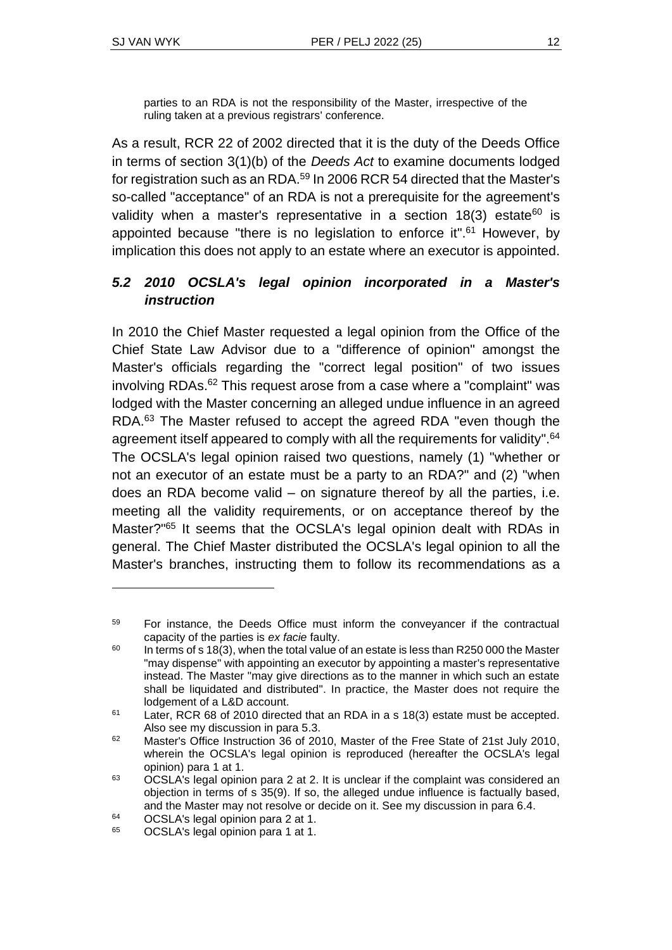parties to an RDA is not the responsibility of the Master, irrespective of the ruling taken at a previous registrars' conference.

As a result, RCR 22 of 2002 directed that it is the duty of the Deeds Office in terms of section 3(1)(b) of the *Deeds Act* to examine documents lodged for registration such as an RDA. <sup>59</sup> In 2006 RCR 54 directed that the Master's so-called "acceptance" of an RDA is not a prerequisite for the agreement's validity when a master's representative in a section  $18(3)$  estate<sup>60</sup> is appointed because "there is no legislation to enforce it".<sup>61</sup> However, by implication this does not apply to an estate where an executor is appointed.

# *5.2 2010 OCSLA's legal opinion incorporated in a Master's instruction*

In 2010 the Chief Master requested a legal opinion from the Office of the Chief State Law Advisor due to a "difference of opinion" amongst the Master's officials regarding the "correct legal position" of two issues involving RDAs. <sup>62</sup> This request arose from a case where a "complaint" was lodged with the Master concerning an alleged undue influence in an agreed RDA.<sup>63</sup> The Master refused to accept the agreed RDA "even though the agreement itself appeared to comply with all the requirements for validity".<sup>64</sup> The OCSLA's legal opinion raised two questions, namely (1) "whether or not an executor of an estate must be a party to an RDA?" and (2) "when does an RDA become valid – on signature thereof by all the parties, i.e. meeting all the validity requirements, or on acceptance thereof by the Master?"<sup>65</sup> It seems that the OCSLA's legal opinion dealt with RDAs in general. The Chief Master distributed the OCSLA's legal opinion to all the Master's branches, instructing them to follow its recommendations as a

<sup>59</sup> For instance, the Deeds Office must inform the conveyancer if the contractual capacity of the parties is *ex facie* faulty.

 $60$  In terms of s 18(3), when the total value of an estate is less than R250 000 the Master "may dispense" with appointing an executor by appointing a master's representative instead. The Master "may give directions as to the manner in which such an estate shall be liquidated and distributed". In practice, the Master does not require the lodgement of a L&D account.

 $61$  Later, RCR 68 of 2010 directed that an RDA in a s 18(3) estate must be accepted. Also see my discussion in para 5.3.

 $62$  Master's Office Instruction 36 of 2010. Master of the Free State of 21st July 2010. wherein the OCSLA's legal opinion is reproduced (hereafter the OCSLA's legal opinion) para 1 at 1.

 $63$  OCSLA's legal opinion para 2 at 2. It is unclear if the complaint was considered an objection in terms of s 35(9). If so, the alleged undue influence is factually based, and the Master may not resolve or decide on it. See my discussion in para 6.4.

 $^{64}$  OCSLA's legal opinion para 2 at 1.<br> $^{65}$  OCSLA's legal opinion para 1 at 1.

<sup>65</sup> OCSLA's legal opinion para 1 at 1.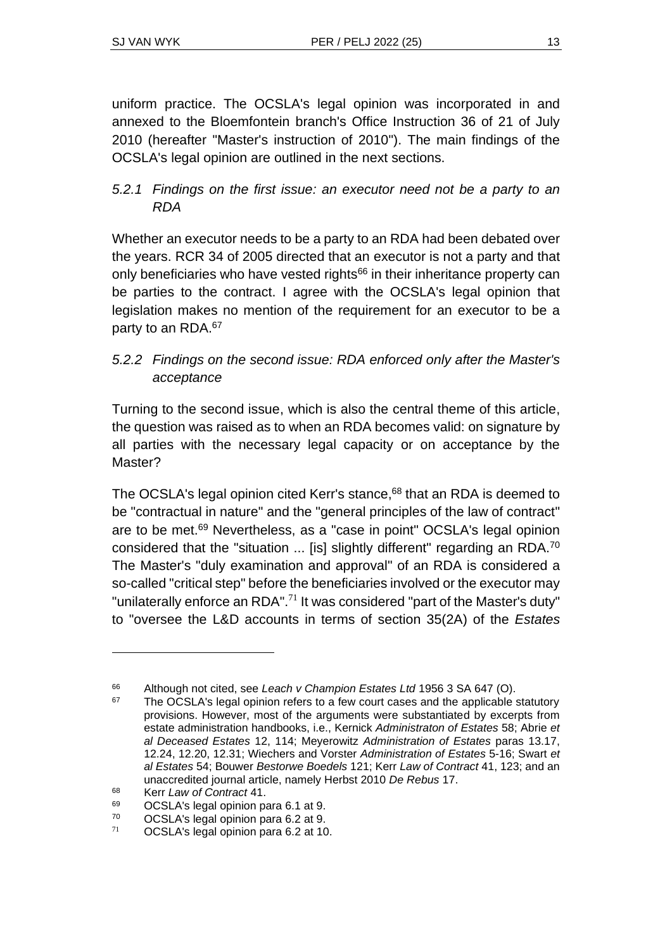uniform practice. The OCSLA's legal opinion was incorporated in and annexed to the Bloemfontein branch's Office Instruction 36 of 21 of July 2010 (hereafter "Master's instruction of 2010"). The main findings of the OCSLA's legal opinion are outlined in the next sections.

#### *5.2.1 Findings on the first issue: an executor need not be a party to an RDA*

Whether an executor needs to be a party to an RDA had been debated over the years. RCR 34 of 2005 directed that an executor is not a party and that only beneficiaries who have vested rights<sup>66</sup> in their inheritance property can be parties to the contract. I agree with the OCSLA's legal opinion that legislation makes no mention of the requirement for an executor to be a party to an RDA.<sup>67</sup>

# *5.2.2 Findings on the second issue: RDA enforced only after the Master's acceptance*

Turning to the second issue, which is also the central theme of this article, the question was raised as to when an RDA becomes valid: on signature by all parties with the necessary legal capacity or on acceptance by the Master?

The OCSLA's legal opinion cited Kerr's stance,<sup>68</sup> that an RDA is deemed to be "contractual in nature" and the "general principles of the law of contract" are to be met.<sup>69</sup> Nevertheless, as a "case in point" OCSLA's legal opinion considered that the "situation ... [is] slightly different" regarding an RDA.<sup>70</sup> The Master's "duly examination and approval" of an RDA is considered a so-called "critical step" before the beneficiaries involved or the executor may "unilaterally enforce an RDA".<sup>71</sup> It was considered "part of the Master's duty" to "oversee the L&D accounts in terms of section 35(2A) of the *Estates* 

<sup>66</sup> Although not cited, see *Leach v Champion Estates Ltd* 1956 3 SA 647 (O).

The OCSLA's legal opinion refers to a few court cases and the applicable statutory provisions. However, most of the arguments were substantiated by excerpts from estate administration handbooks, i.e., Kernick *Administraton of Estates* 58; Abrie *et al Deceased Estates* 12, 114; Meyerowitz *Administration of Estates* paras 13.17, 12.24, 12.20, 12.31; Wiechers and Vorster *Administration of Estates* 5-16; Swart *et al Estates* 54; Bouwer *Bestorwe Boedels* 121; Kerr *Law of Contract* 41, 123; and an unaccredited journal article, namely Herbst 2010 *De Rebus* 17.

<sup>68</sup> Kerr *Law of Contract* 41.

<sup>69</sup> OCSLA's legal opinion para 6.1 at 9.

 $^{70}$  OCSLA's legal opinion para 6.2 at 9.<br> $^{71}$  OCSLA's legal opinion para 6.2 at 10

OCSLA's legal opinion para 6.2 at 10.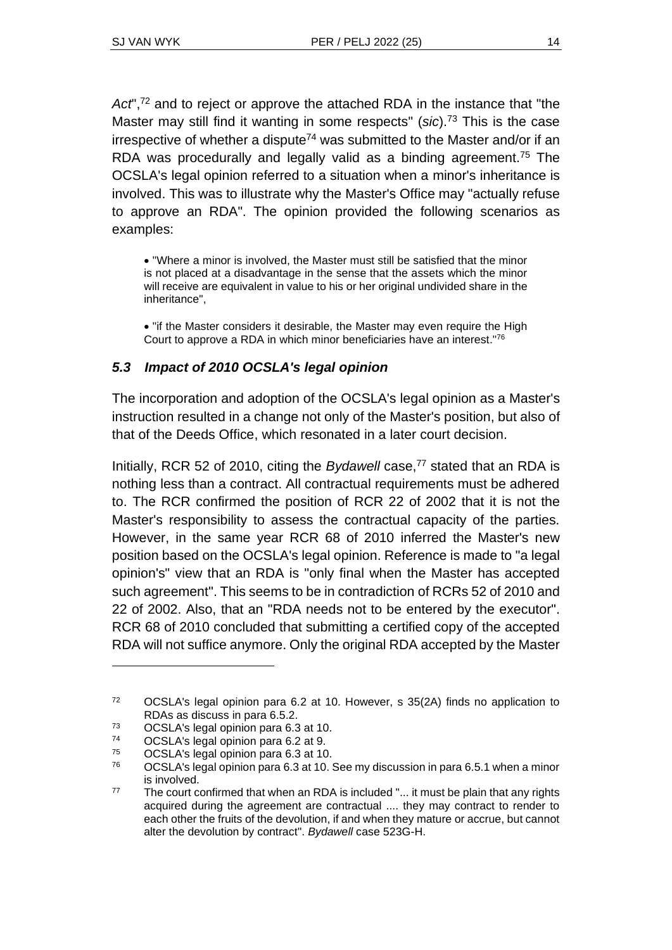Act",<sup>72</sup> and to reject or approve the attached RDA in the instance that "the Master may still find it wanting in some respects" (*sic*). <sup>73</sup> This is the case irrespective of whether a dispute<sup>74</sup> was submitted to the Master and/or if an RDA was procedurally and legally valid as a binding agreement.<sup>75</sup> The OCSLA's legal opinion referred to a situation when a minor's inheritance is involved. This was to illustrate why the Master's Office may "actually refuse to approve an RDA". The opinion provided the following scenarios as examples:

• "Where a minor is involved, the Master must still be satisfied that the minor is not placed at a disadvantage in the sense that the assets which the minor will receive are equivalent in value to his or her original undivided share in the inheritance",

• "if the Master considers it desirable, the Master may even require the High Court to approve a RDA in which minor beneficiaries have an interest." 76

#### *5.3 Impact of 2010 OCSLA's legal opinion*

The incorporation and adoption of the OCSLA's legal opinion as a Master's instruction resulted in a change not only of the Master's position, but also of that of the Deeds Office, which resonated in a later court decision.

Initially, RCR 52 of 2010, citing the *Bydawell* case,<sup>77</sup> stated that an RDA is nothing less than a contract. All contractual requirements must be adhered to. The RCR confirmed the position of RCR 22 of 2002 that it is not the Master's responsibility to assess the contractual capacity of the parties. However, in the same year RCR 68 of 2010 inferred the Master's new position based on the OCSLA's legal opinion. Reference is made to "a legal opinion's" view that an RDA is "only final when the Master has accepted such agreement". This seems to be in contradiction of RCRs 52 of 2010 and 22 of 2002. Also, that an "RDA needs not to be entered by the executor". RCR 68 of 2010 concluded that submitting a certified copy of the accepted RDA will not suffice anymore. Only the original RDA accepted by the Master

<sup>72</sup> OCSLA's legal opinion para 6.2 at 10. However, s 35(2A) finds no application to RDAs as discuss in para 6.5.2.

 $73$  OCSLA's legal opinion para 6.3 at 10.

OCSLA's legal opinion para 6.2 at 9.

<sup>75</sup> OCSLA's legal opinion para 6.3 at 10.

 $76$  OCSLA's legal opinion para 6.3 at 10. See my discussion in para 6.5.1 when a minor is involved.

 $77$  The court confirmed that when an RDA is included "... it must be plain that any rights acquired during the agreement are contractual .... they may contract to render to each other the fruits of the devolution, if and when they mature or accrue, but cannot alter the devolution by contract". *Bydawell* case 523G-H.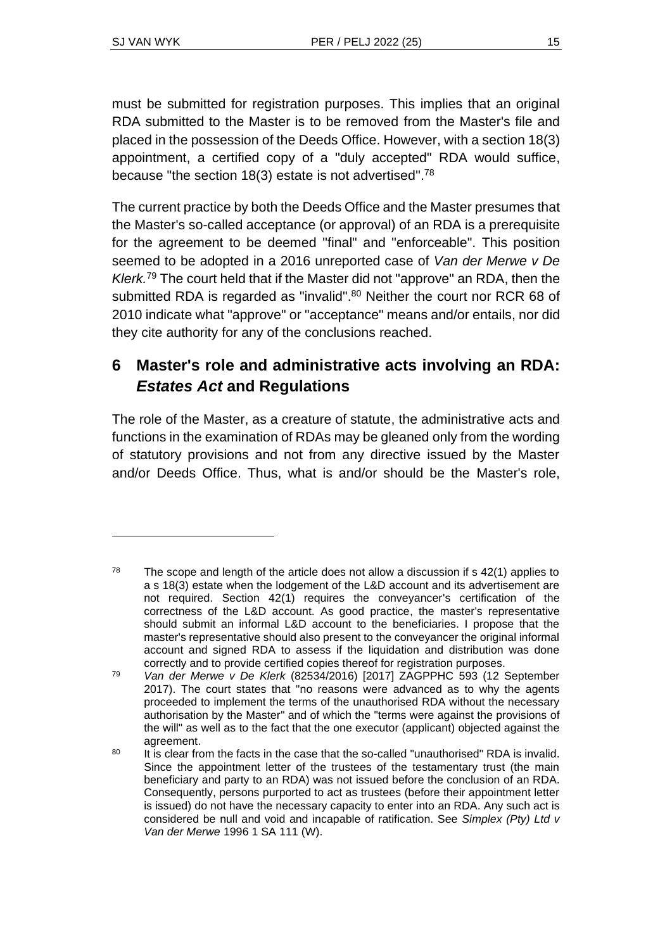must be submitted for registration purposes. This implies that an original RDA submitted to the Master is to be removed from the Master's file and placed in the possession of the Deeds Office. However, with a section 18(3) appointment, a certified copy of a "duly accepted" RDA would suffice, because "the section 18(3) estate is not advertised".<sup>78</sup>

The current practice by both the Deeds Office and the Master presumes that the Master's so-called acceptance (or approval) of an RDA is a prerequisite for the agreement to be deemed "final" and "enforceable". This position seemed to be adopted in a 2016 unreported case of *Van der Merwe v De Klerk.* <sup>79</sup> The court held that if the Master did not "approve" an RDA, then the submitted RDA is regarded as "invalid".<sup>80</sup> Neither the court nor RCR 68 of 2010 indicate what "approve" or "acceptance" means and/or entails, nor did they cite authority for any of the conclusions reached.

# **6 Master's role and administrative acts involving an RDA:**  *Estates Act* **and Regulations**

The role of the Master, as a creature of statute, the administrative acts and functions in the examination of RDAs may be gleaned only from the wording of statutory provisions and not from any directive issued by the Master and/or Deeds Office. Thus, what is and/or should be the Master's role,

 $78$  The scope and length of the article does not allow a discussion if s 42(1) applies to a s 18(3) estate when the lodgement of the L&D account and its advertisement are not required. Section 42(1) requires the conveyancer's certification of the correctness of the L&D account. As good practice, the master's representative should submit an informal L&D account to the beneficiaries. I propose that the master's representative should also present to the conveyancer the original informal account and signed RDA to assess if the liquidation and distribution was done correctly and to provide certified copies thereof for registration purposes.

<sup>79</sup> *Van der Merwe v De Klerk* (82534/2016) [2017] ZAGPPHC 593 (12 September 2017). The court states that "no reasons were advanced as to why the agents proceeded to implement the terms of the unauthorised RDA without the necessary authorisation by the Master" and of which the "terms were against the provisions of the will" as well as to the fact that the one executor (applicant) objected against the agreement.

<sup>&</sup>lt;sup>80</sup> It is clear from the facts in the case that the so-called "unauthorised" RDA is invalid. Since the appointment letter of the trustees of the testamentary trust (the main beneficiary and party to an RDA) was not issued before the conclusion of an RDA. Consequently, persons purported to act as trustees (before their appointment letter is issued) do not have the necessary capacity to enter into an RDA. Any such act is considered be null and void and incapable of ratification. See *Simplex (Pty) Ltd v Van der Merwe* 1996 1 SA 111 (W).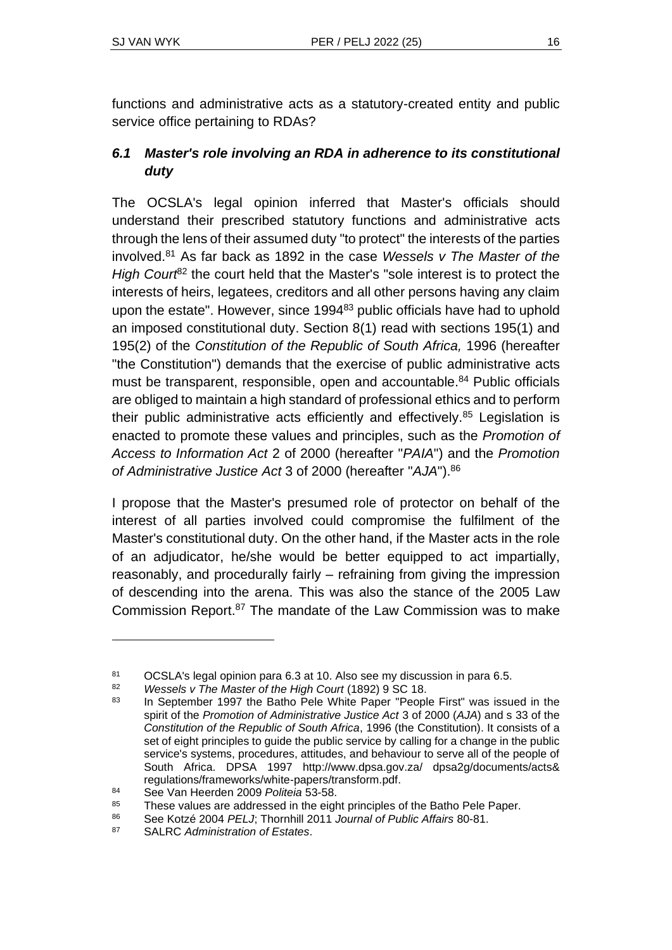functions and administrative acts as a statutory-created entity and public service office pertaining to RDAs?

# *6.1 Master's role involving an RDA in adherence to its constitutional duty*

The OCSLA's legal opinion inferred that Master's officials should understand their prescribed statutory functions and administrative acts through the lens of their assumed duty "to protect" the interests of the parties involved.<sup>81</sup> As far back as 1892 in the case *Wessels v The Master of the High Court*<sup>82</sup> the court held that the Master's "sole interest is to protect the interests of heirs, legatees, creditors and all other persons having any claim upon the estate". However, since 1994<sup>83</sup> public officials have had to uphold an imposed constitutional duty. Section 8(1) read with sections 195(1) and 195(2) of the *Constitution of the Republic of South Africa,* 1996 (hereafter "the Constitution") demands that the exercise of public administrative acts must be transparent, responsible, open and accountable.<sup>84</sup> Public officials are obliged to maintain a high standard of professional ethics and to perform their public administrative acts efficiently and effectively.<sup>85</sup> Legislation is enacted to promote these values and principles, such as the *Promotion of Access to Information Act* 2 of 2000 (hereafter "*PAIA*") and the *Promotion of Administrative Justice Act* 3 of 2000 (hereafter "*AJA*"). 86

I propose that the Master's presumed role of protector on behalf of the interest of all parties involved could compromise the fulfilment of the Master's constitutional duty. On the other hand, if the Master acts in the role of an adjudicator, he/she would be better equipped to act impartially, reasonably, and procedurally fairly – refraining from giving the impression of descending into the arena. This was also the stance of the 2005 Law Commission Report. <sup>87</sup> The mandate of the Law Commission was to make

<sup>81</sup> OCSLA's legal opinion para 6.3 at 10. Also see my discussion in para 6.5.<br>82 Messels v The Master of the High Court (1892) 9 SC 18

<sup>82</sup> *Wessels v The Master of the High Court* (1892) 9 SC 18.

In September 1997 the Batho Pele White Paper "People First" was issued in the spirit of the *Promotion of Administrative Justice Act* 3 of 2000 (*AJA*) and s 33 of the *Constitution of the Republic of South Africa*, 1996 (the Constitution). It consists of a set of eight principles to guide the public service by calling for a change in the public service's systems, procedures, attitudes, and behaviour to serve all of the people of South Africa. DPSA 1997 http://www.dpsa.gov.za/ dpsa2g/documents/acts& regulations/frameworks/white-papers/transform.pdf.

<sup>84</sup> See Van Heerden 2009 *Politeia* 53-58.

<sup>&</sup>lt;sup>85</sup> These values are addressed in the eight principles of the Batho Pele Paper.

<sup>86</sup> See Kotzé 2004 *PELJ*; Thornhill 2011 *Journal of Public Affairs* 80-81.

<sup>87</sup> SALRC *Administration of Estates*.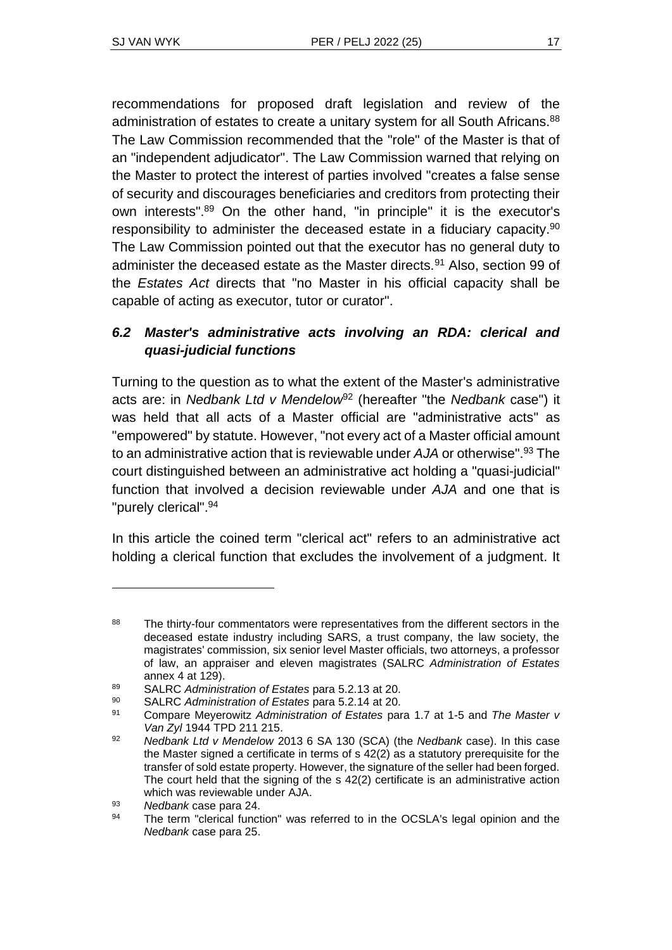recommendations for proposed draft legislation and review of the administration of estates to create a unitary system for all South Africans.<sup>88</sup> The Law Commission recommended that the "role" of the Master is that of an "independent adjudicator". The Law Commission warned that relying on the Master to protect the interest of parties involved "creates a false sense of security and discourages beneficiaries and creditors from protecting their own interests". <sup>89</sup> On the other hand, "in principle" it is the executor's responsibility to administer the deceased estate in a fiduciary capacity.<sup>90</sup> The Law Commission pointed out that the executor has no general duty to administer the deceased estate as the Master directs.<sup>91</sup> Also, section 99 of the *Estates Act* directs that "no Master in his official capacity shall be capable of acting as executor, tutor or curator".

#### *6.2 Master's administrative acts involving an RDA: clerical and quasi-judicial functions*

Turning to the question as to what the extent of the Master's administrative acts are: in *Nedbank Ltd v Mendelow*<sup>92</sup> (hereafter "the *Nedbank* case") it was held that all acts of a Master official are "administrative acts" as "empowered" by statute. However, "not every act of a Master official amount to an administrative action that is reviewable under *AJA* or otherwise". <sup>93</sup> The court distinguished between an administrative act holding a "quasi-judicial" function that involved a decision reviewable under *AJA* and one that is "purely clerical".<sup>94</sup>

In this article the coined term "clerical act" refers to an administrative act holding a clerical function that excludes the involvement of a judgment. It

<sup>&</sup>lt;sup>88</sup> The thirty-four commentators were representatives from the different sectors in the deceased estate industry including SARS, a trust company, the law society, the magistrates' commission, six senior level Master officials, two attorneys, a professor of law, an appraiser and eleven magistrates (SALRC *Administration of Estates* annex 4 at 129).

<sup>89</sup> SALRC *Administration of Estates* para 5.2.13 at 20.

<sup>90</sup> SALRC *Administration of Estates* para 5.2.14 at 20.

<sup>91</sup> Compare Meyerowitz *Administration of Estates* para 1.7 at 1-5 and *The Master v Van Zyl* 1944 TPD 211 215.

<sup>92</sup> *Nedbank Ltd v Mendelow* 2013 6 SA 130 (SCA) (the *Nedbank* case). In this case the Master signed a certificate in terms of s 42(2) as a statutory prerequisite for the transfer of sold estate property. However, the signature of the seller had been forged. The court held that the signing of the s 42(2) certificate is an administrative action which was reviewable under AJA.

<sup>93</sup> *Nedbank* case para 24.

<sup>94</sup> The term "clerical function" was referred to in the OCSLA's legal opinion and the *Nedbank* case para 25.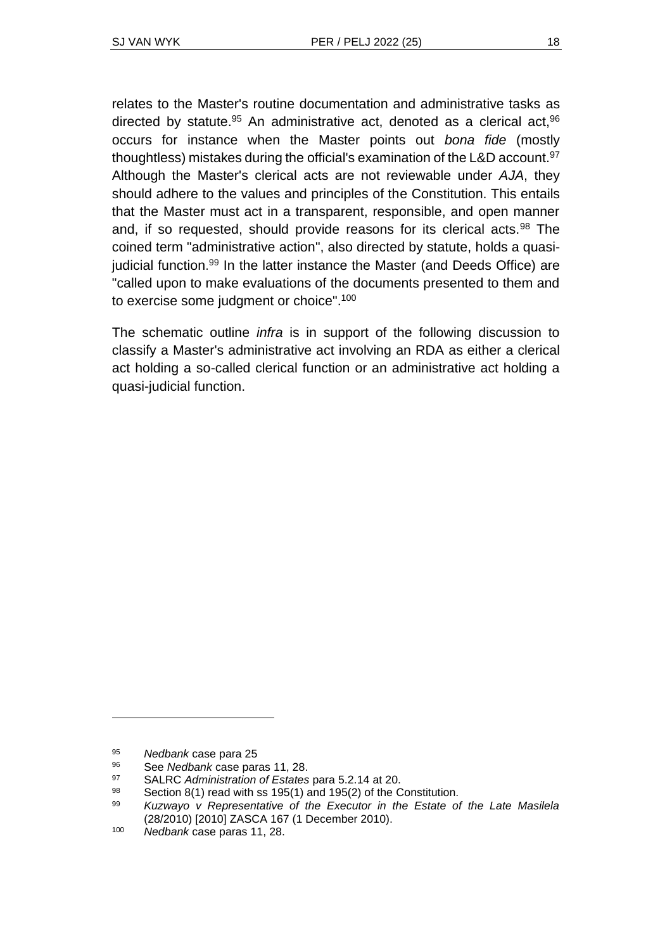relates to the Master's routine documentation and administrative tasks as directed by statute.<sup>95</sup> An administrative act, denoted as a clerical act,  $96$ occurs for instance when the Master points out *bona fide* (mostly thoughtless) mistakes during the official's examination of the L&D account.<sup>97</sup> Although the Master's clerical acts are not reviewable under *AJA*, they should adhere to the values and principles of the Constitution. This entails that the Master must act in a transparent, responsible, and open manner and, if so requested, should provide reasons for its clerical acts.<sup>98</sup> The coined term "administrative action", also directed by statute, holds a quasijudicial function. <sup>99</sup> In the latter instance the Master (and Deeds Office) are "called upon to make evaluations of the documents presented to them and to exercise some judgment or choice".<sup>100</sup>

The schematic outline *infra* is in support of the following discussion to classify a Master's administrative act involving an RDA as either a clerical act holding a so-called clerical function or an administrative act holding a quasi-judicial function.

<sup>95</sup> *Nedbank* case para 25

<sup>96</sup> See *Nedbank* case paras 11, 28.

<sup>97</sup> SALRC *Administration of Estates* para 5.2.14 at 20.

<sup>98</sup> Section 8(1) read with ss 195(1) and 195(2) of the Constitution.

<sup>99</sup> *Kuzwayo v Representative of the Executor in the Estate of the Late Masilela*  (28/2010) [2010] ZASCA 167 (1 December 2010).

<sup>100</sup> *Nedbank* case paras 11, 28.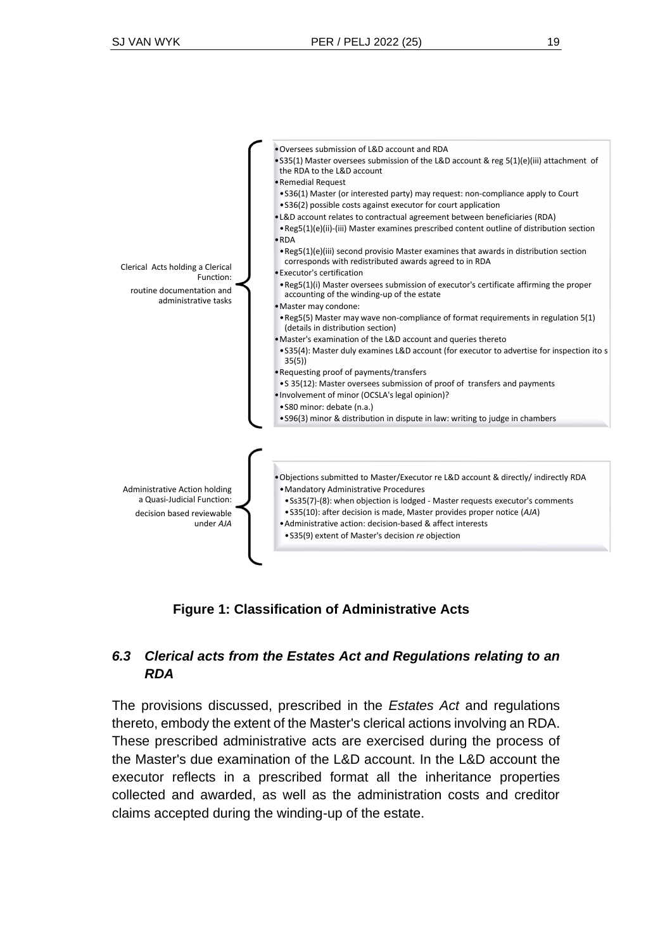| Clerical Acts holding a Clerical<br>Function:<br>routine documentation and<br>administrative tasks    | . Oversees submission of L&D account and RDA<br>• S35(1) Master oversees submission of the L&D account & reg 5(1)(e)(iii) attachment of<br>the RDA to the L&D account<br>• Remedial Request<br>.536(1) Master (or interested party) may request: non-compliance apply to Court<br>• S36(2) possible costs against executor for court application<br>. L&D account relates to contractual agreement between beneficiaries (RDA)                                                                                                    |
|-------------------------------------------------------------------------------------------------------|-----------------------------------------------------------------------------------------------------------------------------------------------------------------------------------------------------------------------------------------------------------------------------------------------------------------------------------------------------------------------------------------------------------------------------------------------------------------------------------------------------------------------------------|
|                                                                                                       | • Reg5(1)(e)(ii)-(iii) Master examines prescribed content outline of distribution section<br>$\bullet$ RDA<br>• Reg5(1)(e)(iii) second provisio Master examines that awards in distribution section<br>corresponds with redistributed awards agreed to in RDA<br>• Executor's certification<br>. Reg5(1)(i) Master oversees submission of executor's certificate affirming the proper<br>accounting of the winding-up of the estate                                                                                               |
|                                                                                                       | · Master may condone:<br>• Reg5(5) Master may wave non-compliance of format requirements in regulation 5(1)<br>(details in distribution section)<br>• Master's examination of the L&D account and queries thereto<br>.535(4): Master duly examines L&D account (for executor to advertise for inspection ito s<br>35(5)<br>• Requesting proof of payments/transfers<br>• S 35(12): Master oversees submission of proof of transfers and payments<br>. Involvement of minor (OCSLA's legal opinion)?<br>• S80 minor: debate (n.a.) |
| Administrative Action holding<br>a Quasi-Judicial Function:<br>decision based reviewable<br>under AJA | • S96(3) minor & distribution in dispute in law: writing to judge in chambers<br>. Objections submitted to Master/Executor re L&D account & directly/ indirectly RDA<br>• Mandatory Administrative Procedures<br>. SS35(7)-(8): when objection is lodged - Master requests executor's comments<br>• S35(10): after decision is made, Master provides proper notice (AJA)<br>• Administrative action: decision-based & affect interests<br>• S35(9) extent of Master's decision re objection                                       |

**Figure 1: Classification of Administrative Acts**

#### *6.3 Clerical acts from the Estates Act and Regulations relating to an RDA*

The provisions discussed, prescribed in the *Estates Act* and regulations thereto, embody the extent of the Master's clerical actions involving an RDA. These prescribed administrative acts are exercised during the process of the Master's due examination of the L&D account. In the L&D account the executor reflects in a prescribed format all the inheritance properties collected and awarded, as well as the administration costs and creditor claims accepted during the winding-up of the estate.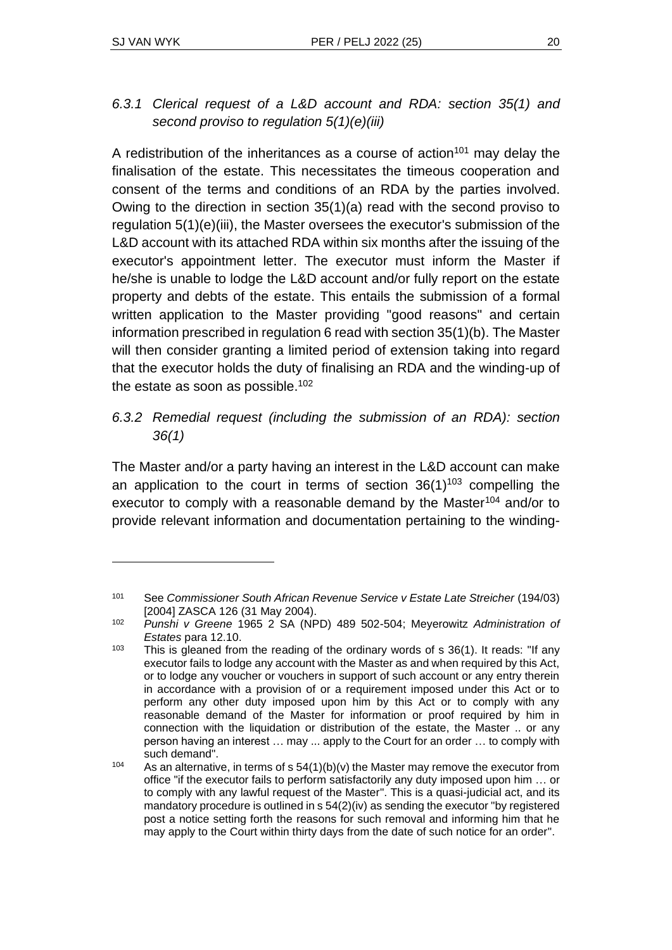A redistribution of the inheritances as a course of action<sup>101</sup> may delay the finalisation of the estate. This necessitates the timeous cooperation and consent of the terms and conditions of an RDA by the parties involved. Owing to the direction in section 35(1)(a) read with the second proviso to regulation 5(1)(e)(iii), the Master oversees the executor's submission of the L&D account with its attached RDA within six months after the issuing of the executor's appointment letter. The executor must inform the Master if he/she is unable to lodge the L&D account and/or fully report on the estate property and debts of the estate. This entails the submission of a formal written application to the Master providing "good reasons" and certain information prescribed in regulation 6 read with section 35(1)(b). The Master will then consider granting a limited period of extension taking into regard that the executor holds the duty of finalising an RDA and the winding-up of the estate as soon as possible.<sup>102</sup>

#### *6.3.2 Remedial request (including the submission of an RDA): section 36(1)*

The Master and/or a party having an interest in the L&D account can make an application to the court in terms of section  $36(1)^{103}$  compelling the executor to comply with a reasonable demand by the Master<sup>104</sup> and/or to provide relevant information and documentation pertaining to the winding-

<sup>&</sup>lt;sup>101</sup> See *Commissioner South African Revenue Service v Estate Late Streicher* (194/03) [2004] ZASCA 126 (31 May 2004).

<sup>102</sup> *Punshi v Greene* 1965 2 SA (NPD) 489 502-504; Meyerowitz *Administration of Estates* para 12.10.

 $103$  This is gleaned from the reading of the ordinary words of s 36(1). It reads: "If any executor fails to lodge any account with the Master as and when required by this Act, or to lodge any voucher or vouchers in support of such account or any entry therein in accordance with a provision of or a requirement imposed under this Act or to perform any other duty imposed upon him by this Act or to comply with any reasonable demand of the Master for information or proof required by him in connection with the liquidation or distribution of the estate, the Master .. or any person having an interest … may ... apply to the Court for an order … to comply with such demand".

<sup>&</sup>lt;sup>104</sup> As an alternative, in terms of s  $54(1)(b)(v)$  the Master may remove the executor from office "if the executor fails to perform satisfactorily any duty imposed upon him … or to comply with any lawful request of the Master". This is a quasi-judicial act, and its mandatory procedure is outlined in s 54(2)(iv) as sending the executor "by registered post a notice setting forth the reasons for such removal and informing him that he may apply to the Court within thirty days from the date of such notice for an order".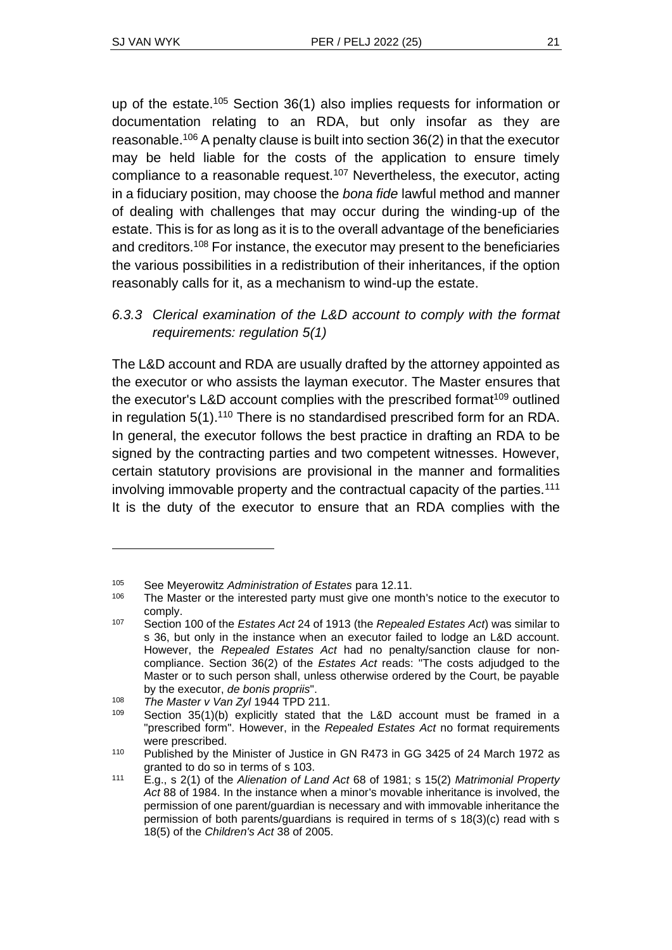up of the estate.<sup>105</sup> Section 36(1) also implies requests for information or documentation relating to an RDA, but only insofar as they are reasonable.<sup>106</sup> A penalty clause is built into section 36(2) in that the executor may be held liable for the costs of the application to ensure timely compliance to a reasonable request.<sup>107</sup> Nevertheless, the executor, acting in a fiduciary position, may choose the *bona fide* lawful method and manner of dealing with challenges that may occur during the winding-up of the estate. This is for as long as it is to the overall advantage of the beneficiaries and creditors.<sup>108</sup> For instance, the executor may present to the beneficiaries the various possibilities in a redistribution of their inheritances, if the option reasonably calls for it, as a mechanism to wind-up the estate.

## *6.3.3 Clerical examination of the L&D account to comply with the format requirements: regulation 5(1)*

The L&D account and RDA are usually drafted by the attorney appointed as the executor or who assists the layman executor. The Master ensures that the executor's L&D account complies with the prescribed format<sup>109</sup> outlined in regulation 5(1).<sup>110</sup> There is no standardised prescribed form for an RDA. In general, the executor follows the best practice in drafting an RDA to be signed by the contracting parties and two competent witnesses. However, certain statutory provisions are provisional in the manner and formalities involving immovable property and the contractual capacity of the parties.<sup>111</sup> It is the duty of the executor to ensure that an RDA complies with the

<sup>105</sup> See Meyerowitz *Administration of Estates* para 12.11.

<sup>&</sup>lt;sup>106</sup> The Master or the interested party must give one month's notice to the executor to comply.

<sup>107</sup> Section 100 of the *Estates Act* 24 of 1913 (the *Repealed Estates Act*) was similar to s 36, but only in the instance when an executor failed to lodge an L&D account. However, the *Repealed Estates Act* had no penalty/sanction clause for noncompliance. Section 36(2) of the *Estates Act* reads: "The costs adjudged to the Master or to such person shall, unless otherwise ordered by the Court, be payable by the executor, *de bonis propriis*".

<sup>108</sup> *The Master v Van Zyl* 1944 TPD 211.

<sup>109</sup> Section 35(1)(b) explicitly stated that the L&D account must be framed in a "prescribed form". However, in the *Repealed Estates Act* no format requirements were prescribed.

<sup>110</sup> Published by the Minister of Justice in GN R473 in GG 3425 of 24 March 1972 as granted to do so in terms of s 103.

<sup>111</sup> E.g., s 2(1) of the *Alienation of Land Act* 68 of 1981; s 15(2) *Matrimonial Property Act* 88 of 1984. In the instance when a minor's movable inheritance is involved, the permission of one parent/guardian is necessary and with immovable inheritance the permission of both parents/guardians is required in terms of s 18(3)(c) read with s 18(5) of the *Children's Act* 38 of 2005.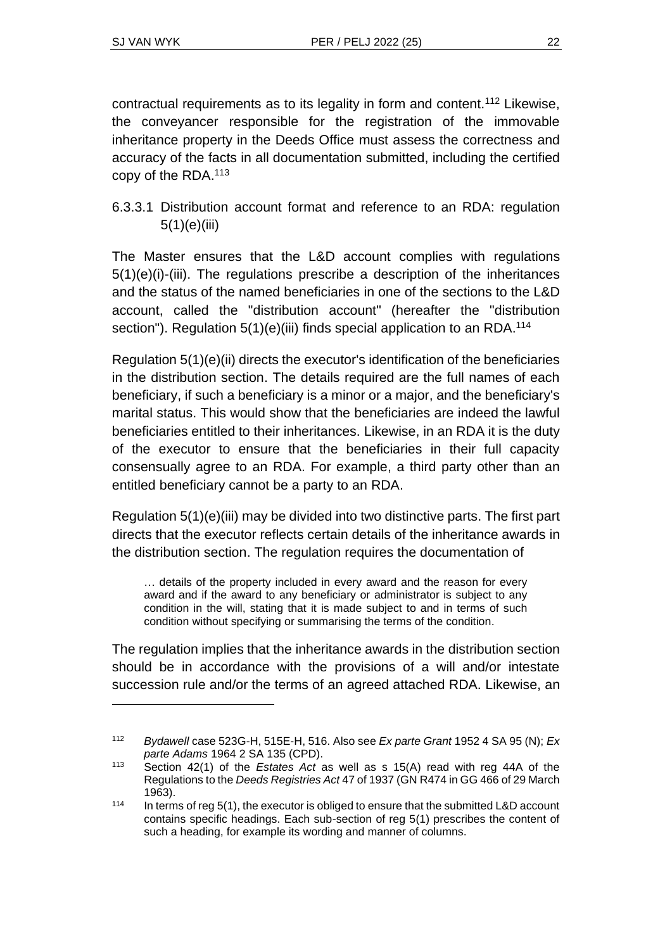contractual requirements as to its legality in form and content.<sup>112</sup> Likewise, the conveyancer responsible for the registration of the immovable inheritance property in the Deeds Office must assess the correctness and accuracy of the facts in all documentation submitted, including the certified copy of the RDA.<sup>113</sup>

#### 6.3.3.1 Distribution account format and reference to an RDA: regulation 5(1)(e)(iii)

The Master ensures that the L&D account complies with regulations 5(1)(e)(i)-(iii). The regulations prescribe a description of the inheritances and the status of the named beneficiaries in one of the sections to the L&D account, called the "distribution account" (hereafter the "distribution section"). Regulation 5(1)(e)(iii) finds special application to an RDA.<sup>114</sup>

Regulation 5(1)(e)(ii) directs the executor's identification of the beneficiaries in the distribution section. The details required are the full names of each beneficiary, if such a beneficiary is a minor or a major, and the beneficiary's marital status. This would show that the beneficiaries are indeed the lawful beneficiaries entitled to their inheritances. Likewise, in an RDA it is the duty of the executor to ensure that the beneficiaries in their full capacity consensually agree to an RDA. For example, a third party other than an entitled beneficiary cannot be a party to an RDA.

Regulation 5(1)(e)(iii) may be divided into two distinctive parts. The first part directs that the executor reflects certain details of the inheritance awards in the distribution section. The regulation requires the documentation of

… details of the property included in every award and the reason for every award and if the award to any beneficiary or administrator is subject to any condition in the will, stating that it is made subject to and in terms of such condition without specifying or summarising the terms of the condition.

The regulation implies that the inheritance awards in the distribution section should be in accordance with the provisions of a will and/or intestate succession rule and/or the terms of an agreed attached RDA. Likewise, an

<sup>112</sup> *Bydawell* case 523G-H, 515E-H, 516. Also see *Ex parte Grant* 1952 4 SA 95 (N); *Ex parte Adams* 1964 2 SA 135 (CPD).

<sup>113</sup> Section 42(1) of the *Estates Act* as well as s 15(A) read with reg 44A of the Regulations to the *Deeds Registries Act* 47 of 1937 (GN R474 in GG 466 of 29 March 1963).

 $114$  In terms of reg 5(1), the executor is obliged to ensure that the submitted L&D account contains specific headings. Each sub-section of reg 5(1) prescribes the content of such a heading, for example its wording and manner of columns.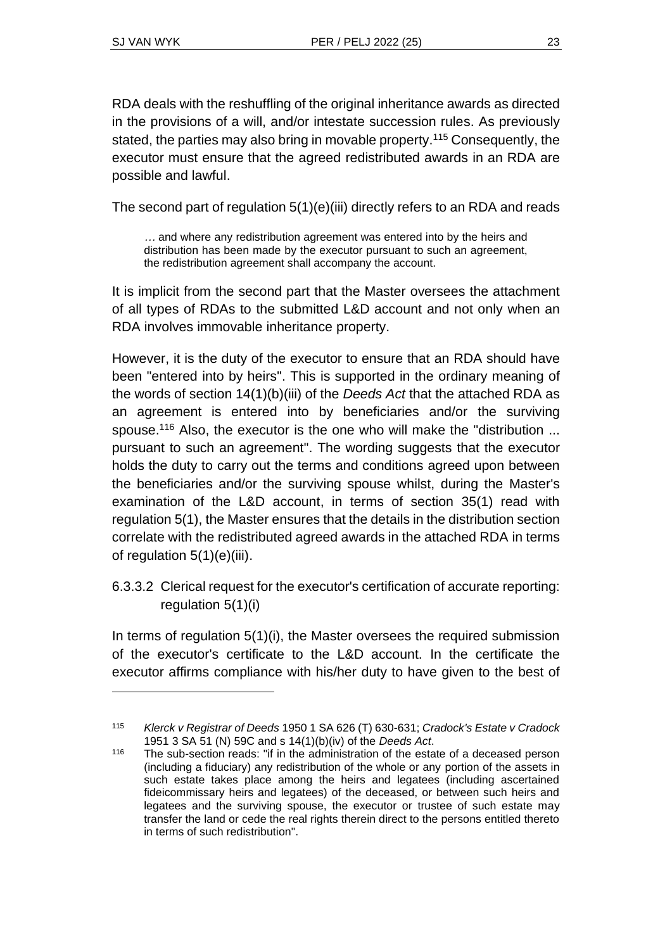RDA deals with the reshuffling of the original inheritance awards as directed in the provisions of a will, and/or intestate succession rules. As previously stated, the parties may also bring in movable property.<sup>115</sup> Consequently, the executor must ensure that the agreed redistributed awards in an RDA are possible and lawful.

The second part of regulation 5(1)(e)(iii) directly refers to an RDA and reads

*…* and where any redistribution agreement was entered into by the heirs and distribution has been made by the executor pursuant to such an agreement, the redistribution agreement shall accompany the account.

It is implicit from the second part that the Master oversees the attachment of all types of RDAs to the submitted L&D account and not only when an RDA involves immovable inheritance property.

However, it is the duty of the executor to ensure that an RDA should have been "entered into by heirs". This is supported in the ordinary meaning of the words of section 14(1)(b)(iii) of the *Deeds Act* that the attached RDA as an agreement is entered into by beneficiaries and/or the surviving spouse.<sup>116</sup> Also, the executor is the one who will make the "distribution ... pursuant to such an agreement". The wording suggests that the executor holds the duty to carry out the terms and conditions agreed upon between the beneficiaries and/or the surviving spouse whilst, during the Master's examination of the L&D account, in terms of section 35(1) read with regulation 5(1), the Master ensures that the details in the distribution section correlate with the redistributed agreed awards in the attached RDA in terms of regulation 5(1)(e)(iii).

6.3.3.2 Clerical request for the executor's certification of accurate reporting: regulation 5(1)(i)

In terms of regulation 5(1)(i), the Master oversees the required submission of the executor's certificate to the L&D account. In the certificate the executor affirms compliance with his/her duty to have given to the best of

<sup>115</sup> *Klerck v Registrar of Deeds* 1950 1 SA 626 (T) 630-631; *Cradock's Estate v Cradock* 1951 3 SA 51 (N) 59C and s 14(1)(b)(iv) of the *Deeds Act*.

<sup>&</sup>lt;sup>116</sup> The sub-section reads: "if in the administration of the estate of a deceased person (including a fiduciary) any redistribution of the whole or any portion of the assets in such estate takes place among the heirs and legatees (including ascertained fideicommissary heirs and legatees) of the deceased, or between such heirs and legatees and the surviving spouse, the executor or trustee of such estate may transfer the land or cede the real rights therein direct to the persons entitled thereto in terms of such redistribution".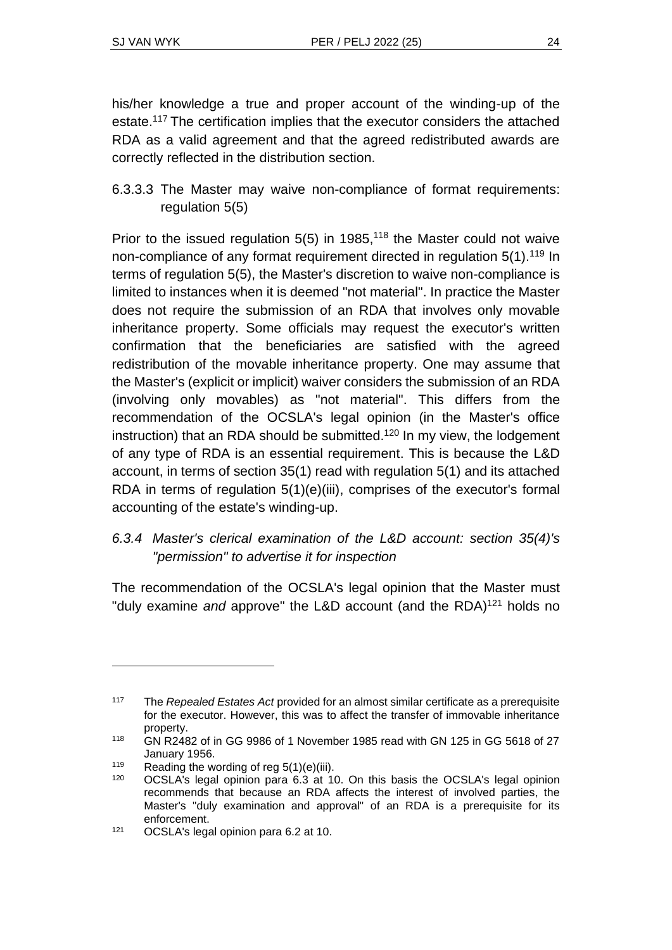his/her knowledge a true and proper account of the winding-up of the estate.<sup>117</sup> The certification implies that the executor considers the attached RDA as a valid agreement and that the agreed redistributed awards are correctly reflected in the distribution section.

6.3.3.3 The Master may waive non-compliance of format requirements: regulation 5(5)

Prior to the issued regulation  $5(5)$  in 1985,<sup>118</sup> the Master could not waive non-compliance of any format requirement directed in regulation 5(1).<sup>119</sup> In terms of regulation 5(5), the Master's discretion to waive non-compliance is limited to instances when it is deemed "not material". In practice the Master does not require the submission of an RDA that involves only movable inheritance property. Some officials may request the executor's written confirmation that the beneficiaries are satisfied with the agreed redistribution of the movable inheritance property. One may assume that the Master's (explicit or implicit) waiver considers the submission of an RDA (involving only movables) as "not material". This differs from the recommendation of the OCSLA's legal opinion (in the Master's office instruction) that an RDA should be submitted.<sup>120</sup> In my view, the lodgement of any type of RDA is an essential requirement. This is because the L&D account, in terms of section 35(1) read with regulation 5(1) and its attached RDA in terms of regulation 5(1)(e)(iii), comprises of the executor's formal accounting of the estate's winding-up.

#### *6.3.4 Master's clerical examination of the L&D account: section 35(4)'s "permission" to advertise it for inspection*

The recommendation of the OCSLA's legal opinion that the Master must "duly examine *and* approve" the L&D account (and the RDA)<sup>121</sup> holds no

<sup>117</sup> The *Repealed Estates Act* provided for an almost similar certificate as a prerequisite for the executor. However, this was to affect the transfer of immovable inheritance property.

<sup>118</sup> GN R2482 of in GG 9986 of 1 November 1985 read with GN 125 in GG 5618 of 27 January 1956.

<sup>&</sup>lt;sup>119</sup> Reading the wording of reg  $5(1)(e)(iii)$ .

<sup>120</sup> OCSLA's legal opinion para 6.3 at 10. On this basis the OCSLA's legal opinion recommends that because an RDA affects the interest of involved parties, the Master's "duly examination and approval" of an RDA is a prerequisite for its enforcement.

<sup>121</sup> OCSLA's legal opinion para 6.2 at 10.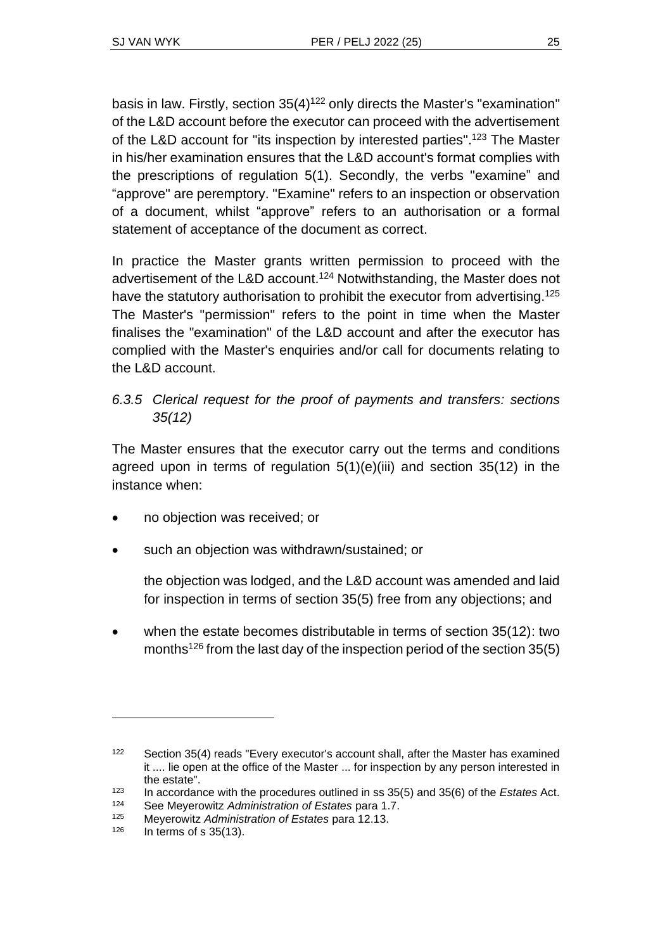basis in law. Firstly, section  $35(4)^{122}$  only directs the Master's "examination" of the L&D account before the executor can proceed with the advertisement of the L&D account for "its inspection by interested parties".<sup>123</sup> The Master in his/her examination ensures that the L&D account's format complies with the prescriptions of regulation 5(1). Secondly, the verbs "examine" and "approve" are peremptory. "Examine" refers to an inspection or observation of a document, whilst "approve" refers to an authorisation or a formal statement of acceptance of the document as correct.

In practice the Master grants written permission to proceed with the advertisement of the L&D account.<sup>124</sup> Notwithstanding, the Master does not have the statutory authorisation to prohibit the executor from advertising.<sup>125</sup> The Master's "permission" refers to the point in time when the Master finalises the "examination" of the L&D account and after the executor has complied with the Master's enquiries and/or call for documents relating to the L&D account.

#### *6.3.5 Clerical request for the proof of payments and transfers: sections 35(12)*

The Master ensures that the executor carry out the terms and conditions agreed upon in terms of regulation  $5(1)(e)(iii)$  and section  $35(12)$  in the instance when:

- no objection was received; or
- such an objection was withdrawn/sustained; or

the objection was lodged, and the L&D account was amended and laid for inspection in terms of section 35(5) free from any objections; and

• when the estate becomes distributable in terms of section 35(12): two months<sup>126</sup> from the last day of the inspection period of the section 35(5)

<sup>122</sup> Section 35(4) reads "Every executor's account shall, after the Master has examined it .... lie open at the office of the Master ... for inspection by any person interested in the estate".

<sup>123</sup> In accordance with the procedures outlined in ss 35(5) and 35(6) of the *Estates* Act.

<sup>124</sup> See Meyerowitz *Administration of Estates* para 1.7.

<sup>125</sup> Meyerowitz *Administration of Estates* para 12.13.

In terms of  $s$  35(13).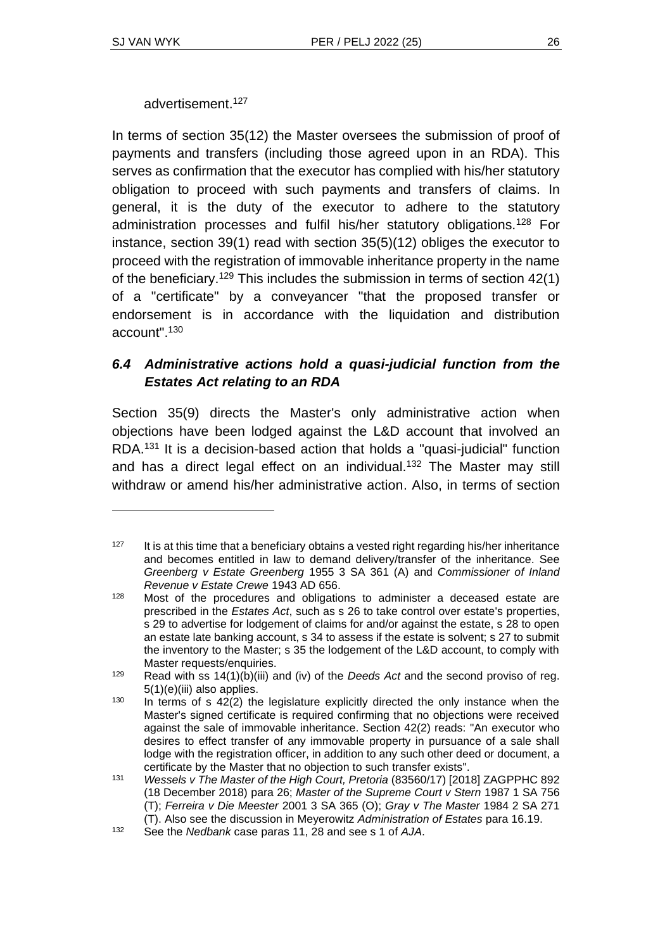advertisement. 127

In terms of section 35(12) the Master oversees the submission of proof of payments and transfers (including those agreed upon in an RDA). This serves as confirmation that the executor has complied with his/her statutory obligation to proceed with such payments and transfers of claims. In general, it is the duty of the executor to adhere to the statutory administration processes and fulfil his/her statutory obligations.<sup>128</sup> For instance, section 39(1) read with section 35(5)(12) obliges the executor to proceed with the registration of immovable inheritance property in the name of the beneficiary.<sup>129</sup> This includes the submission in terms of section 42(1) of a "certificate" by a conveyancer "that the proposed transfer or endorsement is in accordance with the liquidation and distribution account". 130

#### *6.4 Administrative actions hold a quasi-judicial function from the Estates Act relating to an RDA*

Section 35(9) directs the Master's only administrative action when objections have been lodged against the L&D account that involved an RDA.<sup>131</sup> It is a decision-based action that holds a "quasi-judicial" function and has a direct legal effect on an individual.<sup>132</sup> The Master may still withdraw or amend his/her administrative action. Also, in terms of section

 $127$  It is at this time that a beneficiary obtains a vested right regarding his/her inheritance and becomes entitled in law to demand delivery/transfer of the inheritance. See *Greenberg v Estate Greenberg* 1955 3 SA 361 (A) and *Commissioner of Inland Revenue v Estate Crewe* 1943 AD 656.

 $128$  Most of the procedures and obligations to administer a deceased estate are prescribed in the *Estates Act*, such as s 26 to take control over estate's properties, s 29 to advertise for lodgement of claims for and/or against the estate, s 28 to open an estate late banking account, s 34 to assess if the estate is solvent; s 27 to submit the inventory to the Master; s 35 the lodgement of the L&D account, to comply with Master requests/enquiries.

<sup>129</sup> Read with ss 14(1)(b)(iii) and (iv) of the *Deeds Act* and the second proviso of reg. 5(1)(e)(iii) also applies.

 $130$  In terms of s  $42(2)$  the legislature explicitly directed the only instance when the Master's signed certificate is required confirming that no objections were received against the sale of immovable inheritance. Section 42(2) reads: "An executor who desires to effect transfer of any immovable property in pursuance of a sale shall lodge with the registration officer, in addition to any such other deed or document, a certificate by the Master that no objection to such transfer exists".

<sup>131</sup> *Wessels v The Master of the High Court, Pretoria* (83560/17) [2018] ZAGPPHC 892 (18 December 2018) para 26; *Master of the Supreme Court v Stern* 1987 1 SA 756 (T); *Ferreira v Die Meester* 2001 3 SA 365 (O); *Gray v The Master* 1984 2 SA 271 (T). Also see the discussion in Meyerowitz *Administration of Estates* para 16.19.

<sup>132</sup> See the *Nedbank* case paras 11, 28 and see s 1 of *AJA*.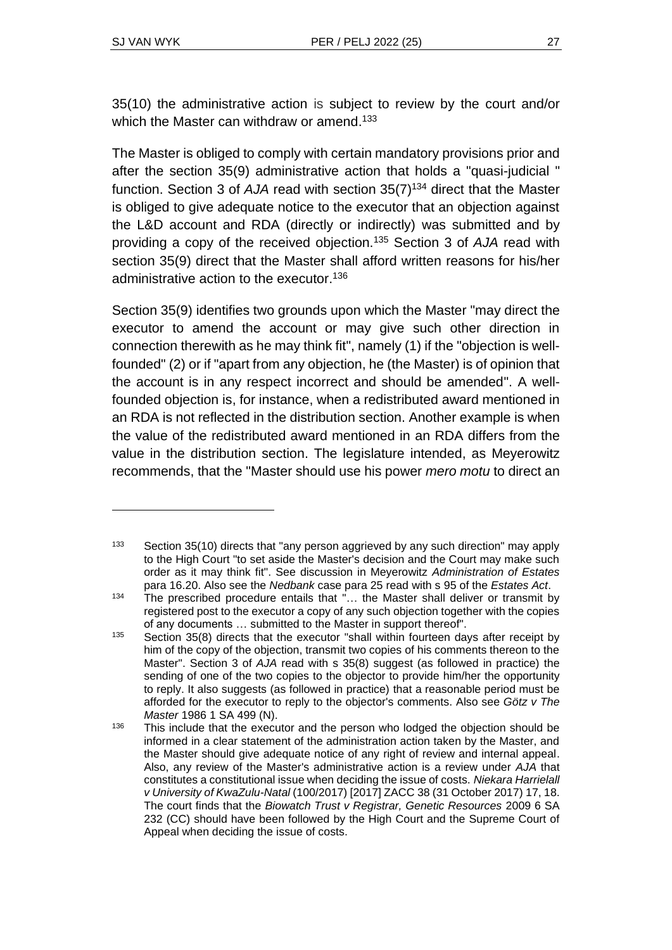35(10) the administrative action is subject to review by the court and/or which the Master can withdraw or amend.<sup>133</sup>

The Master is obliged to comply with certain mandatory provisions prior and after the section 35(9) administrative action that holds a "quasi-judicial " function. Section 3 of *AJA* read with section 35(7)<sup>134</sup> direct that the Master is obliged to give adequate notice to the executor that an objection against the L&D account and RDA (directly or indirectly) was submitted and by providing a copy of the received objection.<sup>135</sup> Section 3 of *AJA* read with section 35(9) direct that the Master shall afford written reasons for his/her administrative action to the executor. 136

Section 35(9) identifies two grounds upon which the Master "may direct the executor to amend the account or may give such other direction in connection therewith as he may think fit", namely (1) if the "objection is wellfounded" (2) or if "apart from any objection, he (the Master) is of opinion that the account is in any respect incorrect and should be amended". A wellfounded objection is, for instance, when a redistributed award mentioned in an RDA is not reflected in the distribution section. Another example is when the value of the redistributed award mentioned in an RDA differs from the value in the distribution section. The legislature intended, as Meyerowitz recommends, that the "Master should use his power *mero motu* to direct an

<sup>&</sup>lt;sup>133</sup> Section 35(10) directs that "any person aggrieved by any such direction" may apply to the High Court "to set aside the Master's decision and the Court may make such order as it may think fit". See discussion in Meyerowitz *Administration of Estates* para 16.20. Also see the *Nedbank* case para 25 read with s 95 of the *Estates Act*.

 $134$  The prescribed procedure entails that "... the Master shall deliver or transmit by registered post to the executor a copy of any such objection together with the copies of any documents … submitted to the Master in support thereof".

<sup>&</sup>lt;sup>135</sup> Section 35(8) directs that the executor "shall within fourteen days after receipt by him of the copy of the objection, transmit two copies of his comments thereon to the Master". Section 3 of *AJA* read with s 35(8) suggest (as followed in practice) the sending of one of the two copies to the objector to provide him/her the opportunity to reply. It also suggests (as followed in practice) that a reasonable period must be afforded for the executor to reply to the objector's comments. Also see *Götz v The Master* 1986 1 SA 499 (N).

 $136$  This include that the executor and the person who lodged the objection should be informed in a clear statement of the administration action taken by the Master, and the Master should give adequate notice of any right of review and internal appeal. Also, any review of the Master's administrative action is a review under *AJA* that constitutes a constitutional issue when deciding the issue of costs. *Niekara Harrielall v University of KwaZulu-Natal* (100/2017) [2017] ZACC 38 (31 October 2017) 17, 18. The court finds that the *Biowatch Trust v Registrar, Genetic Resources* 2009 6 SA 232 (CC) should have been followed by the High Court and the Supreme Court of Appeal when deciding the issue of costs.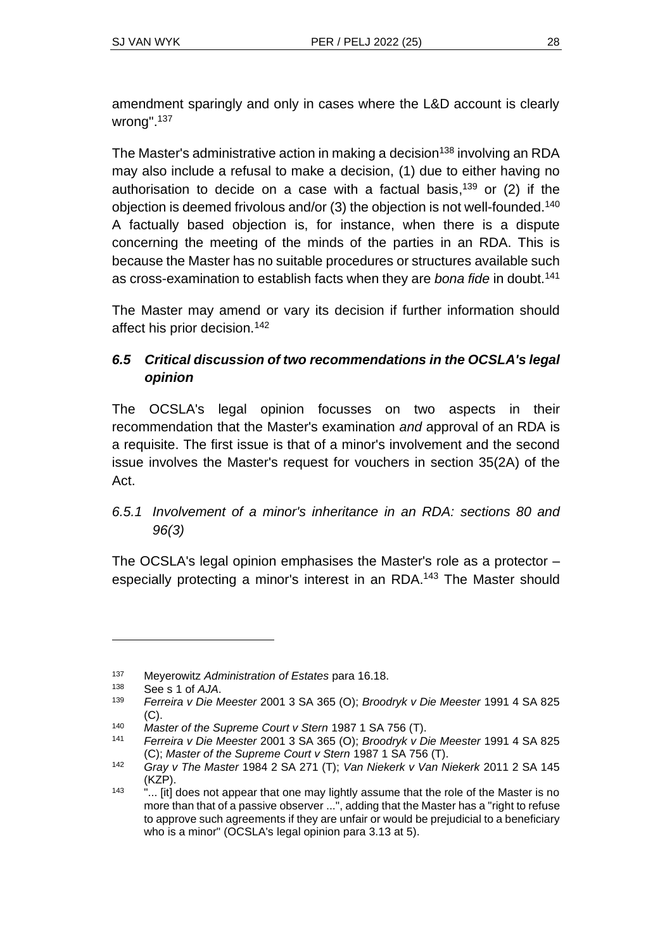amendment sparingly and only in cases where the L&D account is clearly wrong". 137

The Master's administrative action in making a decision<sup>138</sup> involving an RDA may also include a refusal to make a decision, (1) due to either having no authorisation to decide on a case with a factual basis, <sup>139</sup> or (2) if the objection is deemed frivolous and/or (3) the objection is not well-founded.<sup>140</sup> A factually based objection is, for instance, when there is a dispute concerning the meeting of the minds of the parties in an RDA. This is because the Master has no suitable procedures or structures available such as cross-examination to establish facts when they are *bona fide* in doubt.<sup>141</sup>

The Master may amend or vary its decision if further information should affect his prior decision.<sup>142</sup>

# *6.5 Critical discussion of two recommendations in the OCSLA's legal opinion*

The OCSLA's legal opinion focusses on two aspects in their recommendation that the Master's examination *and* approval of an RDA is a requisite. The first issue is that of a minor's involvement and the second issue involves the Master's request for vouchers in section 35(2A) of the Act.

#### *6.5.1 Involvement of a minor's inheritance in an RDA: sections 80 and 96(3)*

The OCSLA's legal opinion emphasises the Master's role as a protector – especially protecting a minor's interest in an RDA.<sup>143</sup> The Master should

<sup>137</sup> Meyerowitz *Administration of Estates* para 16.18.

<sup>138</sup> See s 1 of *AJA*.

<sup>139</sup> *Ferreira v Die Meester* 2001 3 SA 365 (O); *Broodryk v Die Meester* 1991 4 SA 825 (C).

<sup>140</sup> *Master of the Supreme Court v Stern* 1987 1 SA 756 (T).

<sup>141</sup> *Ferreira v Die Meester* 2001 3 SA 365 (O); *Broodryk v Die Meester* 1991 4 SA 825 (C); *Master of the Supreme Court v Stern* 1987 1 SA 756 (T).

<sup>142</sup> *Gray v The Master* 1984 2 SA 271 (T); *Van Niekerk v Van Niekerk* 2011 2 SA 145 (KZP).

<sup>143</sup> "... [it] does not appear that one may lightly assume that the role of the Master is no more than that of a passive observer ...", adding that the Master has a "right to refuse to approve such agreements if they are unfair or would be prejudicial to a beneficiary who is a minor" (OCSLA's legal opinion para 3.13 at 5).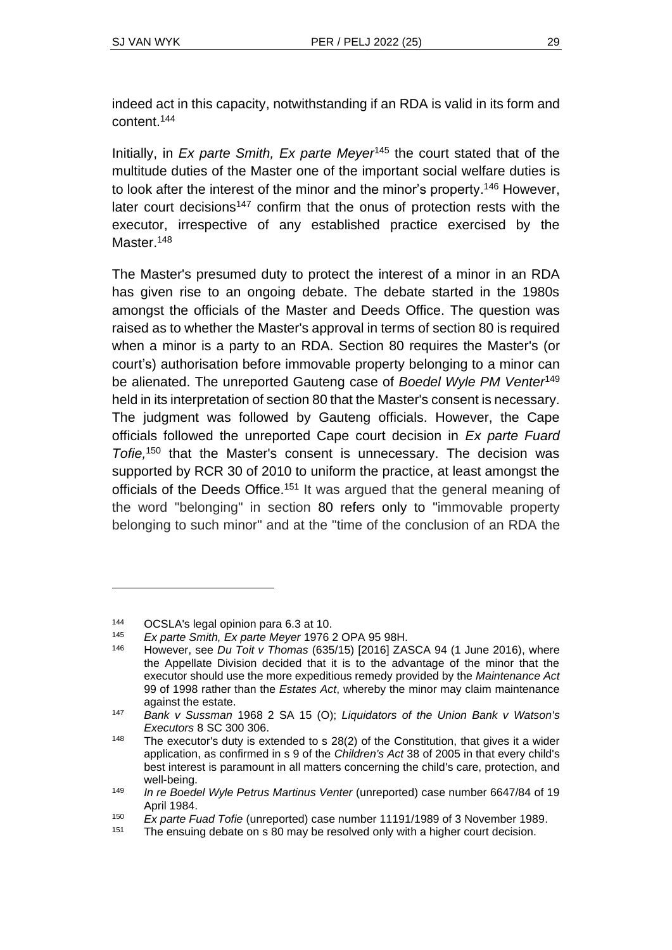indeed act in this capacity, notwithstanding if an RDA is valid in its form and content. 144

Initially, in *Ex parte Smith, Ex parte Meyer*<sup>145</sup> the court stated that of the multitude duties of the Master one of the important social welfare duties is to look after the interest of the minor and the minor's property. <sup>146</sup> However, later court decisions<sup>147</sup> confirm that the onus of protection rests with the executor, irrespective of any established practice exercised by the Master.<sup>148</sup>

The Master's presumed duty to protect the interest of a minor in an RDA has given rise to an ongoing debate. The debate started in the 1980s amongst the officials of the Master and Deeds Office. The question was raised as to whether the Master's approval in terms of section 80 is required when a minor is a party to an RDA. Section 80 requires the Master's (or court's) authorisation before immovable property belonging to a minor can be alienated. The unreported Gauteng case of *Boedel Wyle PM Venter*<sup>149</sup> held in its interpretation of section 80 that the Master's consent is necessary. The judgment was followed by Gauteng officials. However, the Cape officials followed the unreported Cape court decision in *Ex parte Fuard Tofie,* <sup>150</sup> that the Master's consent is unnecessary. The decision was supported by RCR 30 of 2010 to uniform the practice, at least amongst the officials of the Deeds Office.<sup>151</sup> It was argued that the general meaning of the word "belonging" in section 80 refers only to "immovable property belonging to such minor" and at the "time of the conclusion of an RDA the

<sup>&</sup>lt;sup>144</sup> OCSLA's legal opinion para 6.3 at 10.<br><sup>145</sup> Ex parte Smith, Ex parte Meyer 1976.

<sup>145</sup> *Ex parte Smith, Ex parte Meyer* 1976 2 OPA 95 98H.

<sup>146</sup> However, see *Du Toit v Thomas* (635/15) [2016] ZASCA 94 (1 June 2016), where the Appellate Division decided that it is to the advantage of the minor that the executor should use the more expeditious remedy provided by the *Maintenance Act*  99 of 1998 rather than the *Estates Act*, whereby the minor may claim maintenance against the estate.

<sup>147</sup> *Bank v Sussman* 1968 2 SA 15 (O); *Liquidators of the Union Bank v Watson's Executors* 8 SC 300 306.

 $148$  The executor's duty is extended to s 28(2) of the Constitution, that gives it a wider application, as confirmed in s 9 of the *Children's Act* 38 of 2005 in that every child's best interest is paramount in all matters concerning the child's care, protection, and well-being.

<sup>149</sup> *In re Boedel Wyle Petrus Martinus Venter* (unreported) case number 6647/84 of 19 April 1984.

<sup>150</sup> *Ex parte Fuad Tofie* (unreported) case number 11191/1989 of 3 November 1989.

<sup>&</sup>lt;sup>151</sup> The ensuing debate on s 80 may be resolved only with a higher court decision.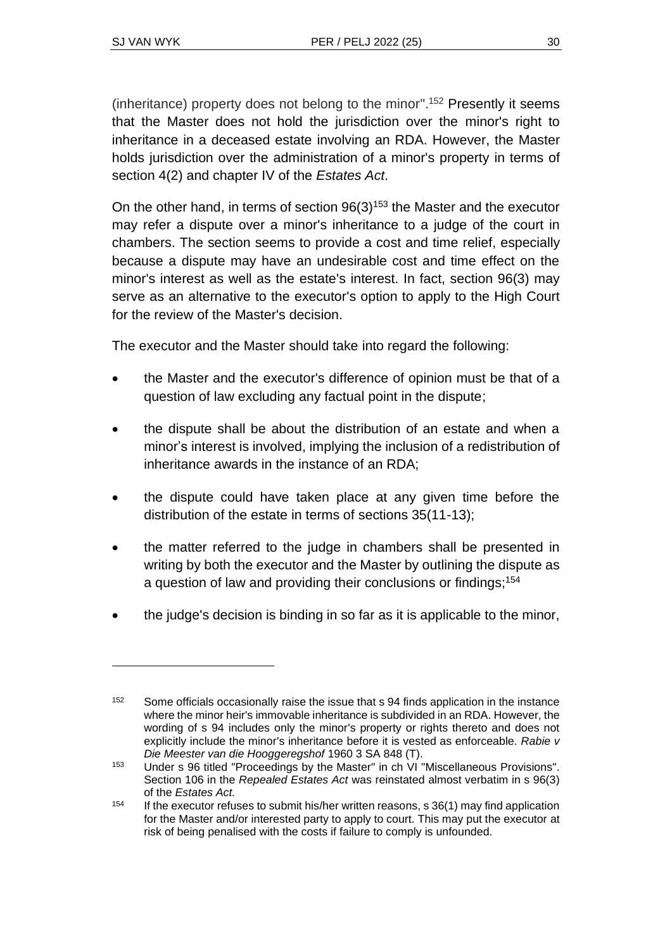(inheritance) property does not belong to the minor". <sup>152</sup> Presently it seems that the Master does not hold the jurisdiction over the minor's right to inheritance in a deceased estate involving an RDA. However, the Master holds jurisdiction over the administration of a minor's property in terms of section 4(2) and chapter IV of the *Estates Act*.

On the other hand, in terms of section  $96(3)^{153}$  the Master and the executor may refer a dispute over a minor's inheritance to a judge of the court in chambers. The section seems to provide a cost and time relief, especially because a dispute may have an undesirable cost and time effect on the minor's interest as well as the estate's interest. In fact, section 96(3) may serve as an alternative to the executor's option to apply to the High Court for the review of the Master's decision.

The executor and the Master should take into regard the following:

- the Master and the executor's difference of opinion must be that of a question of law excluding any factual point in the dispute;
- the dispute shall be about the distribution of an estate and when a minor's interest is involved, implying the inclusion of a redistribution of inheritance awards in the instance of an RDA;
- the dispute could have taken place at any given time before the distribution of the estate in terms of sections 35(11-13);
- the matter referred to the judge in chambers shall be presented in writing by both the executor and the Master by outlining the dispute as a question of law and providing their conclusions or findings; 154
- the judge's decision is binding in so far as it is applicable to the minor,

<sup>&</sup>lt;sup>152</sup> Some officials occasionally raise the issue that s 94 finds application in the instance where the minor heir's immovable inheritance is subdivided in an RDA. However, the wording of s 94 includes only the minor's property or rights thereto and does not explicitly include the minor's inheritance before it is vested as enforceable. *Rabie v Die Meester van die Hooggeregshof* 1960 3 SA 848 (T).

<sup>153</sup> Under s 96 titled "Proceedings by the Master" in ch VI "Miscellaneous Provisions". Section 106 in the *Repealed Estates Act* was reinstated almost verbatim in s 96(3) of the *Estates Act.*

<sup>&</sup>lt;sup>154</sup> If the executor refuses to submit his/her written reasons, s 36(1) may find application for the Master and/or interested party to apply to court. This may put the executor at risk of being penalised with the costs if failure to comply is unfounded.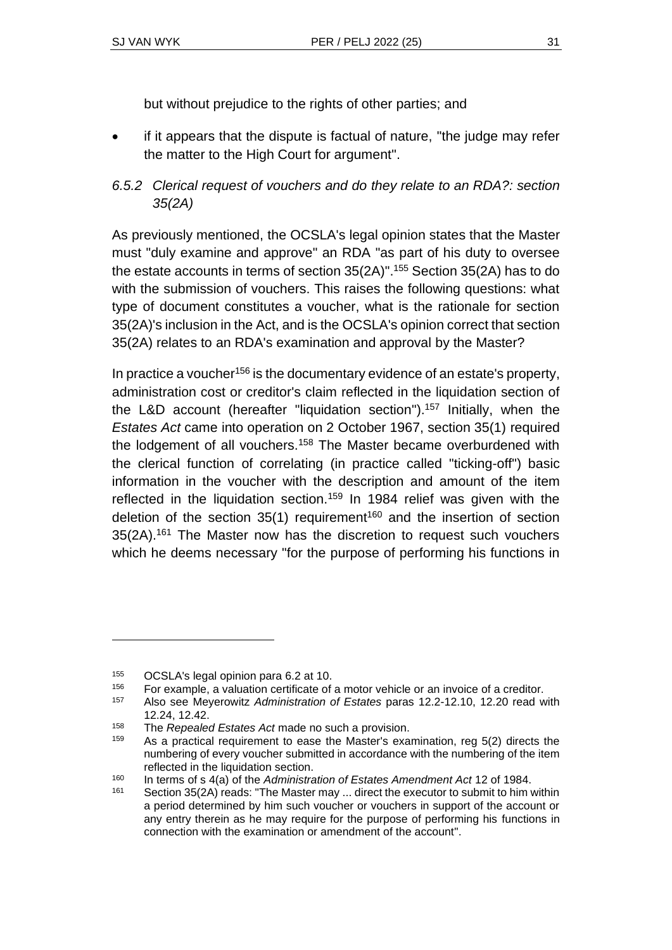but without prejudice to the rights of other parties; and

- if it appears that the dispute is factual of nature, "the judge may refer the matter to the High Court for argument".
- *6.5.2 Clerical request of vouchers and do they relate to an RDA?: section 35(2A)*

As previously mentioned, the OCSLA's legal opinion states that the Master must "duly examine and approve" an RDA "as part of his duty to oversee the estate accounts in terms of section 35(2A)". <sup>155</sup> Section 35(2A) has to do with the submission of vouchers. This raises the following questions: what type of document constitutes a voucher, what is the rationale for section 35(2A)'s inclusion in the Act, and is the OCSLA's opinion correct that section 35(2A) relates to an RDA's examination and approval by the Master?

In practice a voucher<sup>156</sup> is the documentary evidence of an estate's property, administration cost or creditor's claim reflected in the liquidation section of the L&D account (hereafter "liquidation section").<sup>157</sup> Initially, when the *Estates Act* came into operation on 2 October 1967, section 35(1) required the lodgement of all vouchers.<sup>158</sup> The Master became overburdened with the clerical function of correlating (in practice called "ticking-off") basic information in the voucher with the description and amount of the item reflected in the liquidation section.<sup>159</sup> In 1984 relief was given with the deletion of the section  $35(1)$  requirement<sup>160</sup> and the insertion of section 35(2A).<sup>161</sup> The Master now has the discretion to request such vouchers which he deems necessary "for the purpose of performing his functions in

 $155$  OCSLA's legal opinion para 6.2 at 10.<br> $156$  For example, a valuation certificate of

<sup>&</sup>lt;sup>156</sup> For example, a valuation certificate of a motor vehicle or an invoice of a creditor.<br><sup>157</sup> Also see Meyerowitz Administration of Estates paras 12.2-12.10, 12.20 read w

<sup>157</sup> Also see Meyerowitz *Administration of Estates* paras 12.2-12.10, 12.20 read with 12.24, 12.42.

<sup>158</sup> The *Repealed Estates Act* made no such a provision.

As a practical requirement to ease the Master's examination, reg 5(2) directs the numbering of every voucher submitted in accordance with the numbering of the item reflected in the liquidation section.

<sup>160</sup> In terms of s 4(a) of the *Administration of Estates Amendment Act* 12 of 1984.

<sup>&</sup>lt;sup>161</sup> Section 35(2A) reads: "The Master may ... direct the executor to submit to him within a period determined by him such voucher or vouchers in support of the account or any entry therein as he may require for the purpose of performing his functions in connection with the examination or amendment of the account".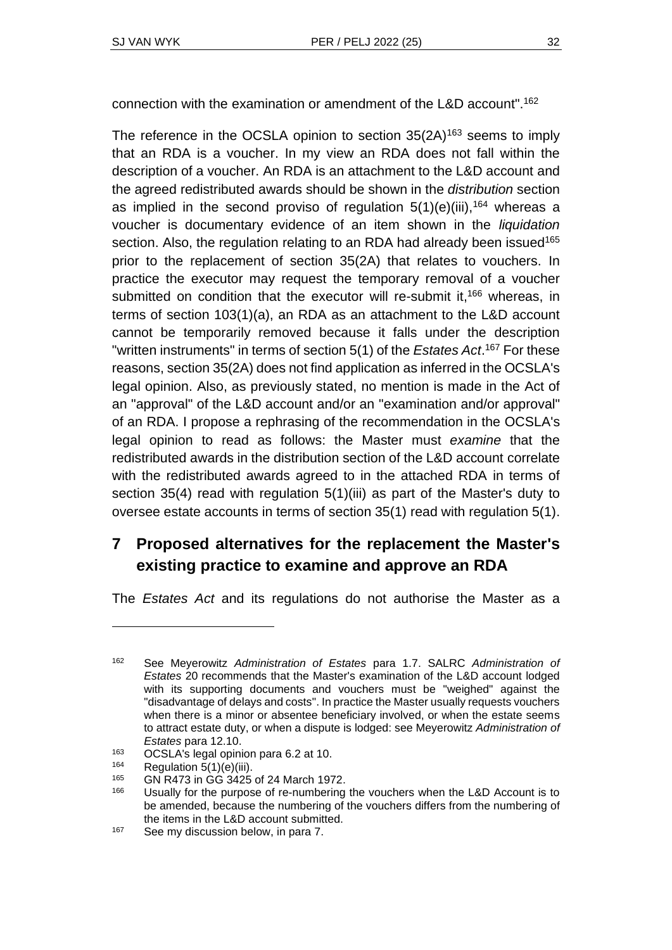connection with the examination or amendment of the L&D account". 162

The reference in the OCSLA opinion to section  $35(2A)^{163}$  seems to imply that an RDA is a voucher. In my view an RDA does not fall within the description of a voucher. An RDA is an attachment to the L&D account and the agreed redistributed awards should be shown in the *distribution* section as implied in the second proviso of regulation  $5(1)(e)(iii)$ , <sup>164</sup> whereas a voucher is documentary evidence of an item shown in the *liquidation* section. Also, the regulation relating to an RDA had already been issued<sup>165</sup> prior to the replacement of section 35(2A) that relates to vouchers. In practice the executor may request the temporary removal of a voucher submitted on condition that the executor will re-submit it,<sup>166</sup> whereas, in terms of section 103(1)(a), an RDA as an attachment to the L&D account cannot be temporarily removed because it falls under the description "written instruments" in terms of section 5(1) of the *Estates Act*. <sup>167</sup> For these reasons, section 35(2A) does not find application as inferred in the OCSLA's legal opinion. Also, as previously stated, no mention is made in the Act of an "approval" of the L&D account and/or an "examination and/or approval" of an RDA. I propose a rephrasing of the recommendation in the OCSLA's legal opinion to read as follows: the Master must *examine* that the redistributed awards in the distribution section of the L&D account correlate with the redistributed awards agreed to in the attached RDA in terms of section 35(4) read with regulation 5(1)(iii) as part of the Master's duty to oversee estate accounts in terms of section 35(1) read with regulation 5(1).

# **7 Proposed alternatives for the replacement the Master's existing practice to examine and approve an RDA**

The *Estates Act* and its regulations do not authorise the Master as a

<sup>162</sup> See Meyerowitz *Administration of Estates* para 1.7. SALRC *Administration of Estates* 20 recommends that the Master's examination of the L&D account lodged with its supporting documents and vouchers must be "weighed" against the "disadvantage of delays and costs". In practice the Master usually requests vouchers when there is a minor or absentee beneficiary involved, or when the estate seems to attract estate duty, or when a dispute is lodged: see Meyerowitz *Administration of Estates* para 12.10.

<sup>163</sup> OCSLA's legal opinion para 6.2 at 10.

 $164$  Regulation  $\overline{5}(1)(\overline{e})(iii)$ .

<sup>165</sup> GN R473 in GG 3425 of 24 March 1972.

<sup>&</sup>lt;sup>166</sup> Usually for the purpose of re-numbering the vouchers when the L&D Account is to be amended, because the numbering of the vouchers differs from the numbering of the items in the L&D account submitted.

<sup>167</sup> See my discussion below, in para 7.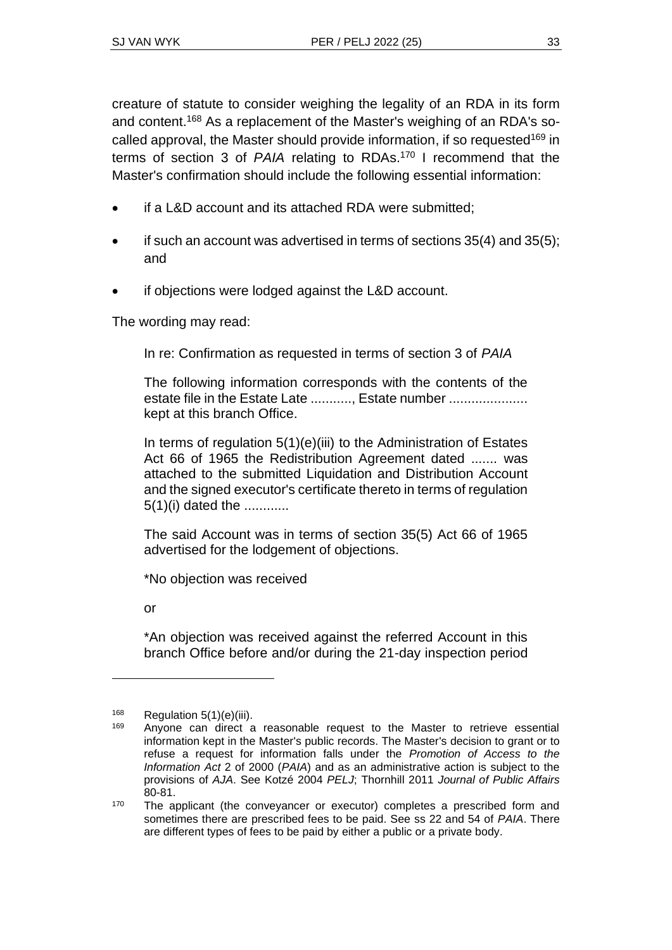creature of statute to consider weighing the legality of an RDA in its form and content.<sup>168</sup> As a replacement of the Master's weighing of an RDA's socalled approval, the Master should provide information, if so requested<sup>169</sup> in terms of section 3 of *PAIA* relating to RDAs. <sup>170</sup> I recommend that the Master's confirmation should include the following essential information:

- if a L&D account and its attached RDA were submitted:
- if such an account was advertised in terms of sections  $35(4)$  and  $35(5)$ ; and
- if objections were lodged against the L&D account.

The wording may read:

In re: Confirmation as requested in terms of section 3 of *PAIA*

The following information corresponds with the contents of the estate file in the Estate Late ............ Estate number ..................... kept at this branch Office.

In terms of regulation 5(1)(e)(iii) to the Administration of Estates Act 66 of 1965 the Redistribution Agreement dated ....... was attached to the submitted Liquidation and Distribution Account and the signed executor's certificate thereto in terms of regulation 5(1)(i) dated the ............

The said Account was in terms of section 35(5) Act 66 of 1965 advertised for the lodgement of objections.

\*No objection was received

or

\*An objection was received against the referred Account in this branch Office before and/or during the 21-day inspection period

 $168$  Regulation 5(1)(e)(iii).

Anyone can direct a reasonable request to the Master to retrieve essential information kept in the Master's public records. The Master's decision to grant or to refuse a request for information falls under the *Promotion of Access to the Information Act* 2 of 2000 (*PAIA*) and as an administrative action is subject to the provisions of *AJA*. See Kotzé 2004 *PELJ*; Thornhill 2011 *Journal of Public Affairs* 80-81.

<sup>&</sup>lt;sup>170</sup> The applicant (the conveyancer or executor) completes a prescribed form and sometimes there are prescribed fees to be paid. See ss 22 and 54 of *PAIA*. There are different types of fees to be paid by either a public or a private body.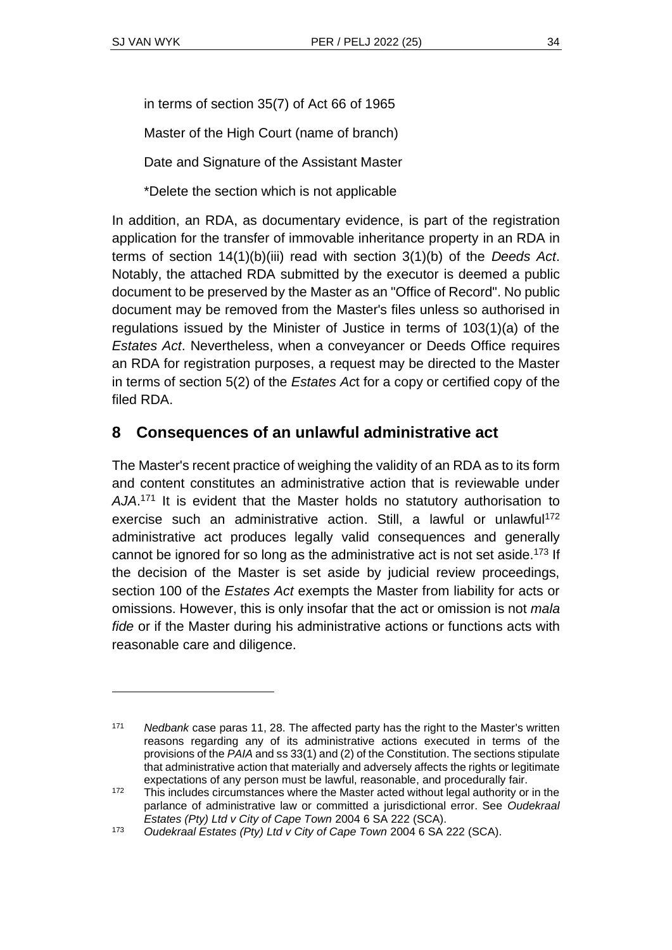in terms of section 35(7) of Act 66 of 1965

Master of the High Court (name of branch)

Date and Signature of the Assistant Master

\*Delete the section which is not applicable

In addition, an RDA, as documentary evidence, is part of the registration application for the transfer of immovable inheritance property in an RDA in terms of section 14(1)(b)(iii) read with section 3(1)(b) of the *Deeds Act*. Notably, the attached RDA submitted by the executor is deemed a public document to be preserved by the Master as an "Office of Record". No public document may be removed from the Master's files unless so authorised in regulations issued by the Minister of Justice in terms of 103(1)(a) of the *Estates Act*. Nevertheless, when a conveyancer or Deeds Office requires an RDA for registration purposes, a request may be directed to the Master in terms of section 5(2) of the *Estates Ac*t for a copy or certified copy of the filed RDA.

# **8 Consequences of an unlawful administrative act**

The Master's recent practice of weighing the validity of an RDA as to its form and content constitutes an administrative action that is reviewable under *AJA*. <sup>171</sup> It is evident that the Master holds no statutory authorisation to exercise such an administrative action. Still, a lawful or unlawful<sup>172</sup> administrative act produces legally valid consequences and generally cannot be ignored for so long as the administrative act is not set aside.<sup>173</sup> If the decision of the Master is set aside by judicial review proceedings, section 100 of the *Estates Act* exempts the Master from liability for acts or omissions. However, this is only insofar that the act or omission is not *mala fide* or if the Master during his administrative actions or functions acts with reasonable care and diligence.

<sup>171</sup> *Nedbank* case paras 11, 28. The affected party has the right to the Master's written reasons regarding any of its administrative actions executed in terms of the provisions of the *PAIA* and ss 33(1) and (2) of the Constitution. The sections stipulate that administrative action that materially and adversely affects the rights or legitimate expectations of any person must be lawful, reasonable, and procedurally fair.

<sup>&</sup>lt;sup>172</sup> This includes circumstances where the Master acted without legal authority or in the parlance of administrative law or committed a jurisdictional error. See *Oudekraal Estates (Pty) Ltd v City of Cape Town* 2004 6 SA 222 (SCA).

<sup>173</sup> *Oudekraal Estates (Pty) Ltd v City of Cape Town* 2004 6 SA 222 (SCA).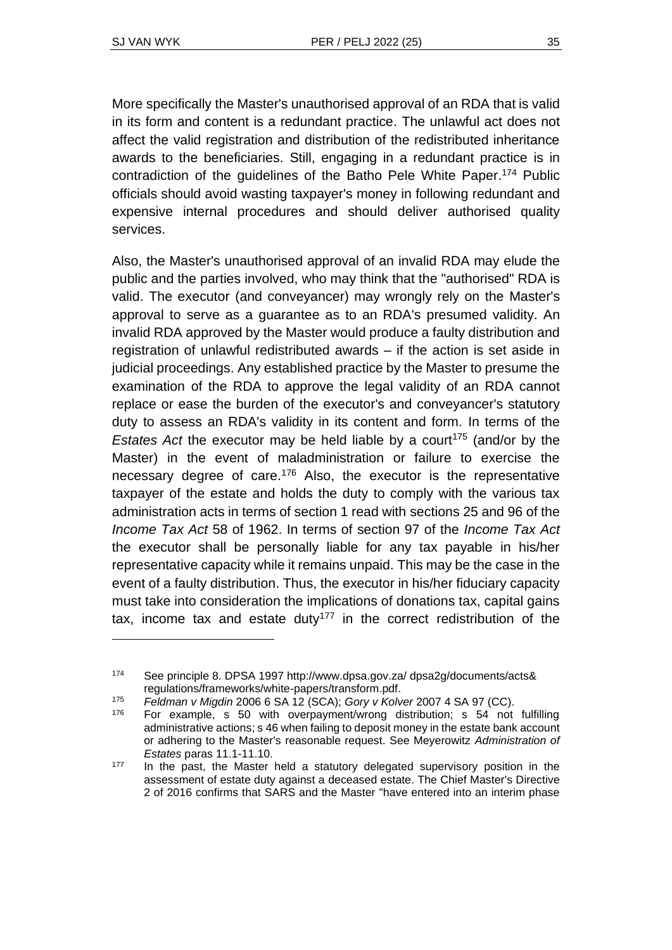More specifically the Master's unauthorised approval of an RDA that is valid in its form and content is a redundant practice. The unlawful act does not affect the valid registration and distribution of the redistributed inheritance awards to the beneficiaries. Still, engaging in a redundant practice is in contradiction of the guidelines of the Batho Pele White Paper. <sup>174</sup> Public officials should avoid wasting taxpayer's money in following redundant and expensive internal procedures and should deliver authorised quality services.

Also, the Master's unauthorised approval of an invalid RDA may elude the public and the parties involved, who may think that the "authorised" RDA is valid. The executor (and conveyancer) may wrongly rely on the Master's approval to serve as a guarantee as to an RDA's presumed validity. An invalid RDA approved by the Master would produce a faulty distribution and registration of unlawful redistributed awards – if the action is set aside in judicial proceedings. Any established practice by the Master to presume the examination of the RDA to approve the legal validity of an RDA cannot replace or ease the burden of the executor's and conveyancer's statutory duty to assess an RDA's validity in its content and form. In terms of the *Estates Act* the executor may be held liable by a court<sup>175</sup> (and/or by the Master) in the event of maladministration or failure to exercise the necessary degree of care.<sup>176</sup> Also, the executor is the representative taxpayer of the estate and holds the duty to comply with the various tax administration acts in terms of section 1 read with sections 25 and 96 of the *Income Tax Act* 58 of 1962. In terms of section 97 of the *Income Tax Act* the executor shall be personally liable for any tax payable in his/her representative capacity while it remains unpaid. This may be the case in the event of a faulty distribution. Thus, the executor in his/her fiduciary capacity must take into consideration the implications of donations tax, capital gains tax, income tax and estate duty<sup>177</sup> in the correct redistribution of the

<sup>174</sup> See principle 8. DPSA 1997 http://www.dpsa.gov.za/ dpsa2g/documents/acts& regulations/frameworks/white-papers/transform.pdf.

<sup>175</sup> *Feldman v Migdin* 2006 6 SA 12 (SCA); *Gory v Kolver* 2007 4 SA 97 (CC).

<sup>&</sup>lt;sup>176</sup> For example, s 50 with overpayment/wrong distribution; s 54 not fulfilling administrative actions; s 46 when failing to deposit money in the estate bank account or adhering to the Master's reasonable request. See Meyerowitz *Administration of Estates* paras 11.1-11.10.

<sup>&</sup>lt;sup>177</sup> In the past, the Master held a statutory delegated supervisory position in the assessment of estate duty against a deceased estate. The Chief Master's Directive 2 of 2016 confirms that SARS and the Master "have entered into an interim phase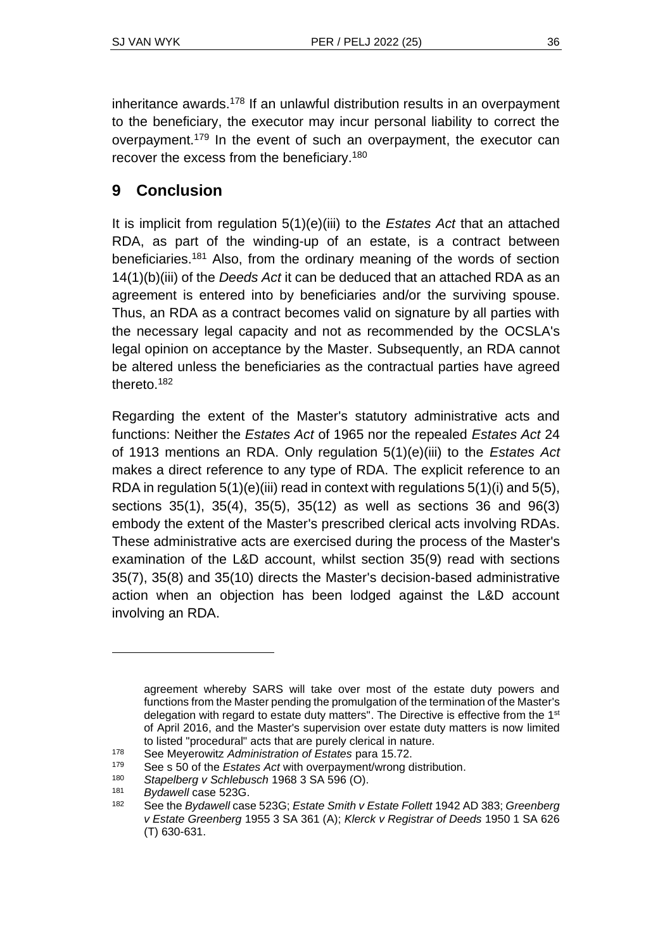inheritance awards.<sup>178</sup> If an unlawful distribution results in an overpayment to the beneficiary, the executor may incur personal liability to correct the overpayment.<sup>179</sup> In the event of such an overpayment, the executor can recover the excess from the beneficiary.<sup>180</sup>

# **9 Conclusion**

It is implicit from regulation 5(1)(e)(iii) to the *Estates Act* that an attached RDA, as part of the winding-up of an estate, is a contract between beneficiaries.<sup>181</sup> Also, from the ordinary meaning of the words of section 14(1)(b)(iii) of the *Deeds Act* it can be deduced that an attached RDA as an agreement is entered into by beneficiaries and/or the surviving spouse. Thus, an RDA as a contract becomes valid on signature by all parties with the necessary legal capacity and not as recommended by the OCSLA's legal opinion on acceptance by the Master. Subsequently, an RDA cannot be altered unless the beneficiaries as the contractual parties have agreed thereto.<sup>182</sup>

Regarding the extent of the Master's statutory administrative acts and functions: Neither the *Estates Act* of 1965 nor the repealed *Estates Act* 24 of 1913 mentions an RDA. Only regulation 5(1)(e)(iii) to the *Estates Act* makes a direct reference to any type of RDA. The explicit reference to an RDA in regulation  $5(1)(e)(iii)$  read in context with regulations  $5(1)(i)$  and  $5(5)$ , sections 35(1), 35(4), 35(5), 35(12) as well as sections 36 and 96(3) embody the extent of the Master's prescribed clerical acts involving RDAs. These administrative acts are exercised during the process of the Master's examination of the L&D account, whilst section 35(9) read with sections 35(7), 35(8) and 35(10) directs the Master's decision-based administrative action when an objection has been lodged against the L&D account involving an RDA.

agreement whereby SARS will take over most of the estate duty powers and functions from the Master pending the promulgation of the termination of the Master's delegation with regard to estate duty matters". The Directive is effective from the 1<sup>st</sup> of April 2016, and the Master's supervision over estate duty matters is now limited to listed "procedural" acts that are purely clerical in nature.

<sup>178</sup> See Meyerowitz *Administration of Estates* para 15.72.

<sup>179</sup> See s 50 of the *Estates Act* with overpayment/wrong distribution.

<sup>180</sup> *Stapelberg v Schlebusch* 1968 3 SA 596 (O).

<sup>181</sup> *Bydawell* case 523G.

<sup>182</sup> See the *Bydawell* case 523G; *Estate Smith v Estate Follett* 1942 AD 383; *Greenberg v Estate Greenberg* 1955 3 SA 361 (A); *Klerck v Registrar of Deeds* 1950 1 SA 626 (T) 630-631.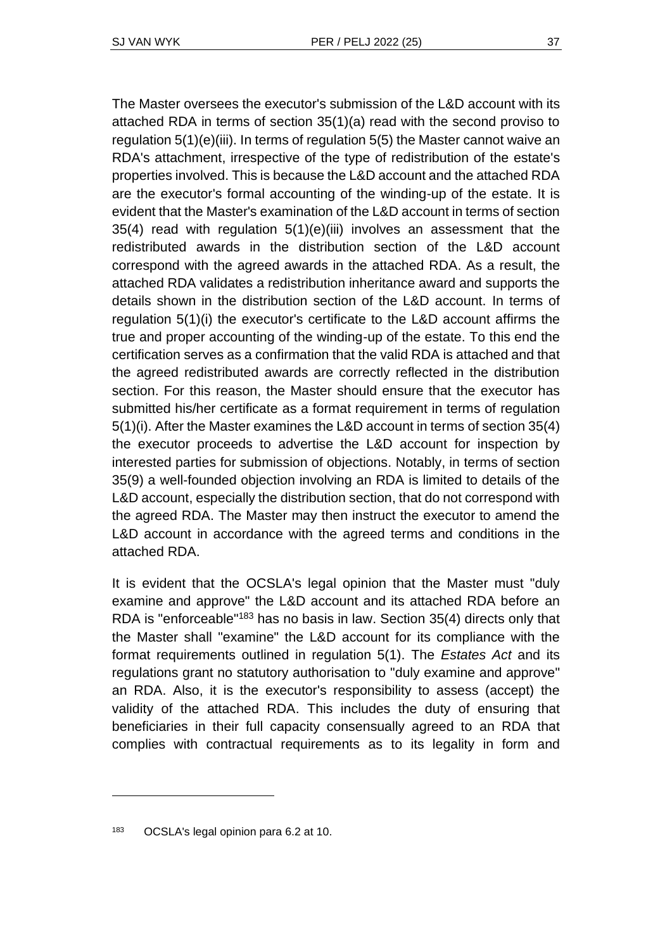The Master oversees the executor's submission of the L&D account with its attached RDA in terms of section 35(1)(a) read with the second proviso to regulation 5(1)(e)(iii). In terms of regulation 5(5) the Master cannot waive an RDA's attachment, irrespective of the type of redistribution of the estate's properties involved. This is because the L&D account and the attached RDA are the executor's formal accounting of the winding-up of the estate. It is evident that the Master's examination of the L&D account in terms of section 35(4) read with regulation 5(1)(e)(iii) involves an assessment that the redistributed awards in the distribution section of the L&D account correspond with the agreed awards in the attached RDA. As a result, the attached RDA validates a redistribution inheritance award and supports the details shown in the distribution section of the L&D account. In terms of regulation 5(1)(i) the executor's certificate to the L&D account affirms the true and proper accounting of the winding-up of the estate. To this end the certification serves as a confirmation that the valid RDA is attached and that the agreed redistributed awards are correctly reflected in the distribution section. For this reason, the Master should ensure that the executor has submitted his/her certificate as a format requirement in terms of regulation 5(1)(i). After the Master examines the L&D account in terms of section 35(4) the executor proceeds to advertise the L&D account for inspection by interested parties for submission of objections. Notably, in terms of section 35(9) a well-founded objection involving an RDA is limited to details of the L&D account, especially the distribution section, that do not correspond with the agreed RDA. The Master may then instruct the executor to amend the L&D account in accordance with the agreed terms and conditions in the attached RDA.

It is evident that the OCSLA's legal opinion that the Master must "duly examine and approve" the L&D account and its attached RDA before an RDA is "enforceable"<sup>183</sup> has no basis in law. Section 35(4) directs only that the Master shall "examine" the L&D account for its compliance with the format requirements outlined in regulation 5(1). The *Estates Act* and its regulations grant no statutory authorisation to "duly examine and approve" an RDA. Also, it is the executor's responsibility to assess (accept) the validity of the attached RDA. This includes the duty of ensuring that beneficiaries in their full capacity consensually agreed to an RDA that complies with contractual requirements as to its legality in form and

<sup>183</sup> OCSLA's legal opinion para 6.2 at 10.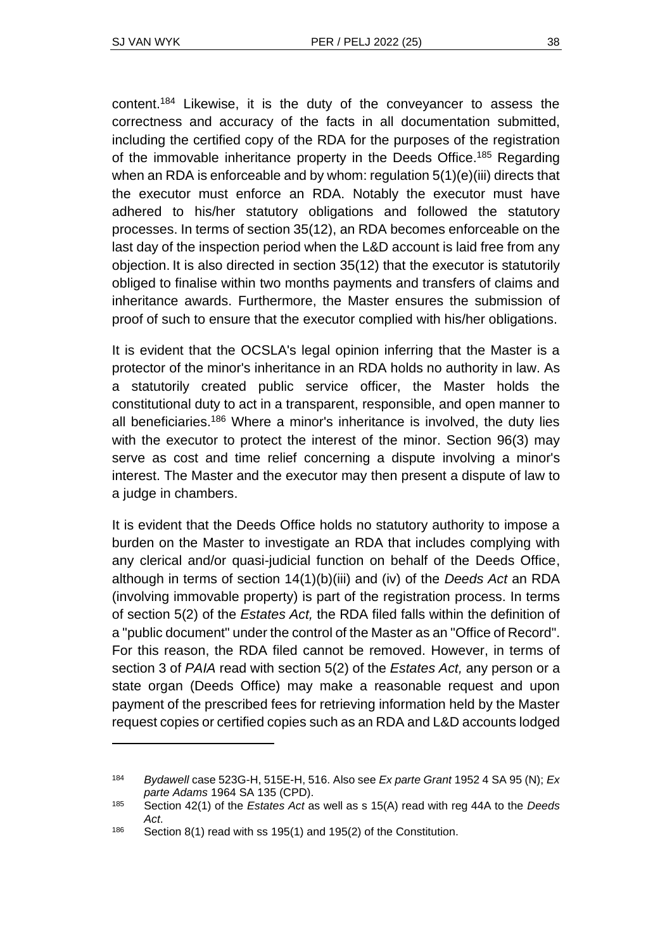content.<sup>184</sup> Likewise, it is the duty of the conveyancer to assess the correctness and accuracy of the facts in all documentation submitted, including the certified copy of the RDA for the purposes of the registration of the immovable inheritance property in the Deeds Office.<sup>185</sup> Regarding when an RDA is enforceable and by whom: regulation 5(1)(e)(iii) directs that the executor must enforce an RDA. Notably the executor must have adhered to his/her statutory obligations and followed the statutory processes. In terms of section 35(12), an RDA becomes enforceable on the last day of the inspection period when the L&D account is laid free from any objection. It is also directed in section 35(12) that the executor is statutorily obliged to finalise within two months payments and transfers of claims and inheritance awards. Furthermore, the Master ensures the submission of proof of such to ensure that the executor complied with his/her obligations.

It is evident that the OCSLA's legal opinion inferring that the Master is a protector of the minor's inheritance in an RDA holds no authority in law. As a statutorily created public service officer, the Master holds the constitutional duty to act in a transparent, responsible, and open manner to all beneficiaries.<sup>186</sup> Where a minor's inheritance is involved, the duty lies with the executor to protect the interest of the minor. Section 96(3) may serve as cost and time relief concerning a dispute involving a minor's interest. The Master and the executor may then present a dispute of law to a judge in chambers.

It is evident that the Deeds Office holds no statutory authority to impose a burden on the Master to investigate an RDA that includes complying with any clerical and/or quasi-judicial function on behalf of the Deeds Office, although in terms of section 14(1)(b)(iii) and (iv) of the *Deeds Act* an RDA (involving immovable property) is part of the registration process. In terms of section 5(2) of the *Estates Act,* the RDA filed falls within the definition of a "public document" under the control of the Master as an "Office of Record". For this reason, the RDA filed cannot be removed. However, in terms of section 3 of *PAIA* read with section 5(2) of the *Estates Act,* any person or a state organ (Deeds Office) may make a reasonable request and upon payment of the prescribed fees for retrieving information held by the Master request copies or certified copies such as an RDA and L&D accounts lodged

<sup>184</sup> *Bydawell* case 523G-H, 515E-H, 516. Also see *Ex parte Grant* 1952 4 SA 95 (N); *Ex parte Adams* 1964 SA 135 (CPD).

<sup>185</sup> Section 42(1) of the *Estates Act* as well as s 15(A) read with reg 44A to the *Deeds Act*.

<sup>186</sup> Section 8(1) read with ss 195(1) and 195(2) of the Constitution.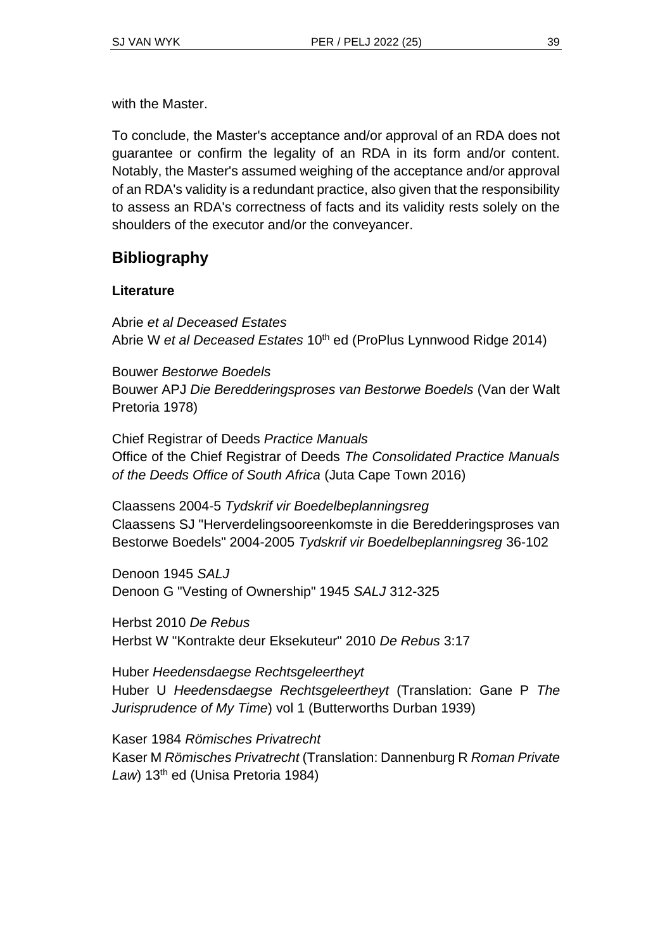with the Master.

To conclude, the Master's acceptance and/or approval of an RDA does not guarantee or confirm the legality of an RDA in its form and/or content. Notably, the Master's assumed weighing of the acceptance and/or approval of an RDA's validity is a redundant practice, also given that the responsibility to assess an RDA's correctness of facts and its validity rests solely on the shoulders of the executor and/or the conveyancer.

# **Bibliography**

#### **Literature**

Abrie *et al Deceased Estates* Abrie W *et al Deceased Estates* 10th ed (ProPlus Lynnwood Ridge 2014)

Bouwer *Bestorwe Boedels* Bouwer APJ *Die Beredderingsproses van Bestorwe Boedels* (Van der Walt Pretoria 1978)

Chief Registrar of Deeds *Practice Manuals* Office of the Chief Registrar of Deeds *The Consolidated Practice Manuals of the Deeds Office of South Africa* (Juta Cape Town 2016)

Claassens 2004-5 *Tydskrif vir Boedelbeplanningsreg* Claassens SJ "Herverdelingsooreenkomste in die Beredderingsproses van Bestorwe Boedels" 2004-2005 *Tydskrif vir Boedelbeplanningsreg* 36-102

Denoon 1945 *SALJ* Denoon G "Vesting of Ownership" 1945 *SALJ* 312-325

Herbst 2010 *De Rebus* Herbst W "Kontrakte deur Eksekuteur" 2010 *De Rebus* 3:17

Huber *Heedensdaegse Rechtsgeleertheyt* Huber U *Heedensdaegse Rechtsgeleertheyt* (Translation: Gane P *The Jurisprudence of My Time*) vol 1 (Butterworths Durban 1939)

Kaser 1984 *Römisches Privatrecht* Kaser M *Römisches Privatrecht* (Translation: Dannenburg R *Roman Private*  Law) 13<sup>th</sup> ed (Unisa Pretoria 1984)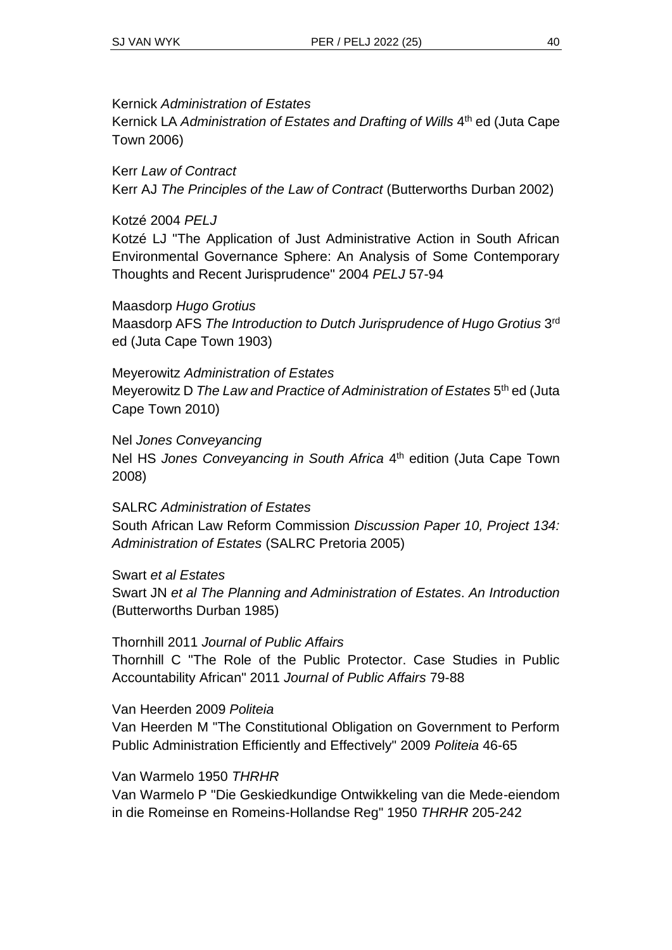#### Kernick *Administration of Estates*

Kernick LA Administration of Estates and Drafting of Wills 4<sup>th</sup> ed (Juta Cape Town 2006)

Kerr *Law of Contract* Kerr AJ *The Principles of the Law of Contract* (Butterworths Durban 2002)

#### Kotzé 2004 *PELJ*

Kotzé LJ "The Application of Just Administrative Action in South African Environmental Governance Sphere: An Analysis of Some Contemporary Thoughts and Recent Jurisprudence" 2004 *PELJ* 57-94

Maasdorp *Hugo Grotius* Maasdorp AFS The Introduction to Dutch Jurisprudence of Hugo Grotius 3<sup>rd</sup> ed (Juta Cape Town 1903)

Meyerowitz *Administration of Estates* Meyerowitz D The Law and Practice of Administration of Estates 5<sup>th</sup> ed (Juta Cape Town 2010)

Nel *Jones Conveyancing* Nel HS *Jones Conveyancing in South Africa* 4 th edition (Juta Cape Town 2008)

SALRC *Administration of Estates* South African Law Reform Commission *Discussion Paper 10, Project 134: Administration of Estates* (SALRC Pretoria 2005)

Swart *et al Estates* Swart JN *et al The Planning and Administration of Estates*. *An Introduction* (Butterworths Durban 1985)

#### Thornhill 2011 *Journal of Public Affairs*

Thornhill C "The Role of the Public Protector. Case Studies in Public Accountability African" 2011 *Journal of Public Affairs* 79-88

#### Van Heerden 2009 *Politeia*

Van Heerden M "The Constitutional Obligation on Government to Perform Public Administration Efficiently and Effectively" 2009 *Politeia* 46-65

#### Van Warmelo 1950 *THRHR*

Van Warmelo P "Die Geskiedkundige Ontwikkeling van die Mede-eiendom in die Romeinse en Romeins-Hollandse Reg" 1950 *THRHR* 205-242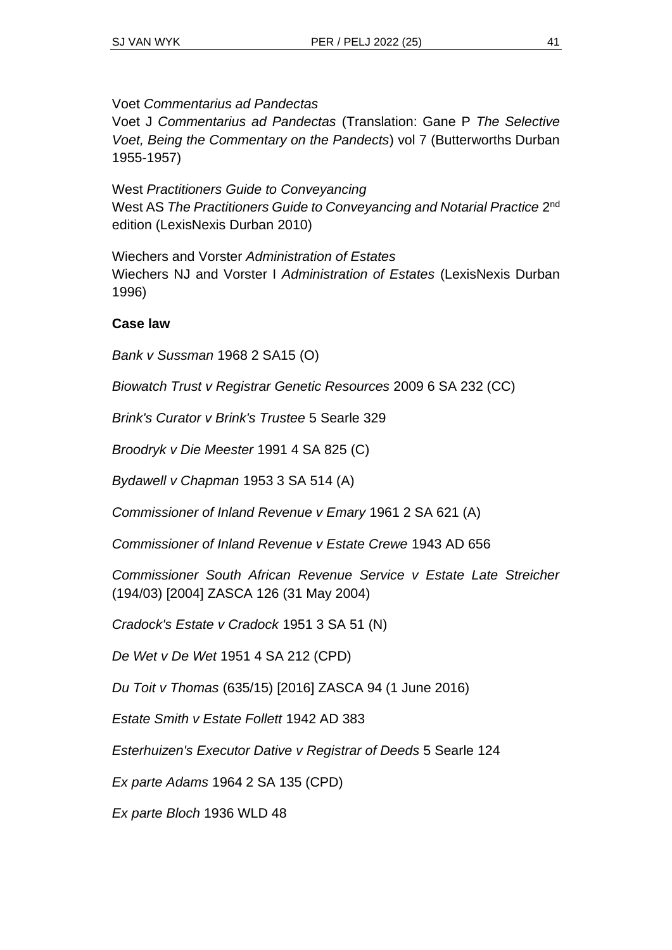Voet *Commentarius ad Pandectas*

Voet J *Commentarius ad Pandectas* (Translation: Gane P *The Selective Voet, Being the Commentary on the Pandects*) vol 7 (Butterworths Durban 1955-1957)

West *Practitioners Guide to Conveyancing* West AS The Practitioners Guide to Conveyancing and Notarial Practice 2<sup>nd</sup> edition (LexisNexis Durban 2010)

Wiechers and Vorster *Administration of Estates* Wiechers NJ and Vorster I *Administration of Estates* (LexisNexis Durban 1996)

#### **Case law**

*Bank v Sussman* 1968 2 SA15 (O)

*Biowatch Trust v Registrar Genetic Resources* 2009 6 SA 232 (CC)

*Brink's Curator v Brink's Trustee* 5 Searle 329

*Broodryk v Die Meester* 1991 4 SA 825 (C)

*Bydawell v Chapman* 1953 3 SA 514 (A)

*Commissioner of Inland Revenue v Emary* 1961 2 SA 621 (A)

*Commissioner of Inland Revenue v Estate Crewe* 1943 AD 656

*Commissioner South African Revenue Service v Estate Late Streicher* (194/03) [2004] ZASCA 126 (31 May 2004)

*Cradock's Estate v Cradock* 1951 3 SA 51 (N)

*De Wet v De Wet* 1951 4 SA 212 (CPD)

*Du Toit v Thomas* (635/15) [2016] ZASCA 94 (1 June 2016)

*Estate Smith v Estate Follett* 1942 AD 383

*Esterhuizen's Executor Dative v Registrar of Deeds* 5 Searle 124

*Ex parte Adams* 1964 2 SA 135 (CPD)

*Ex parte Bloch* 1936 WLD 48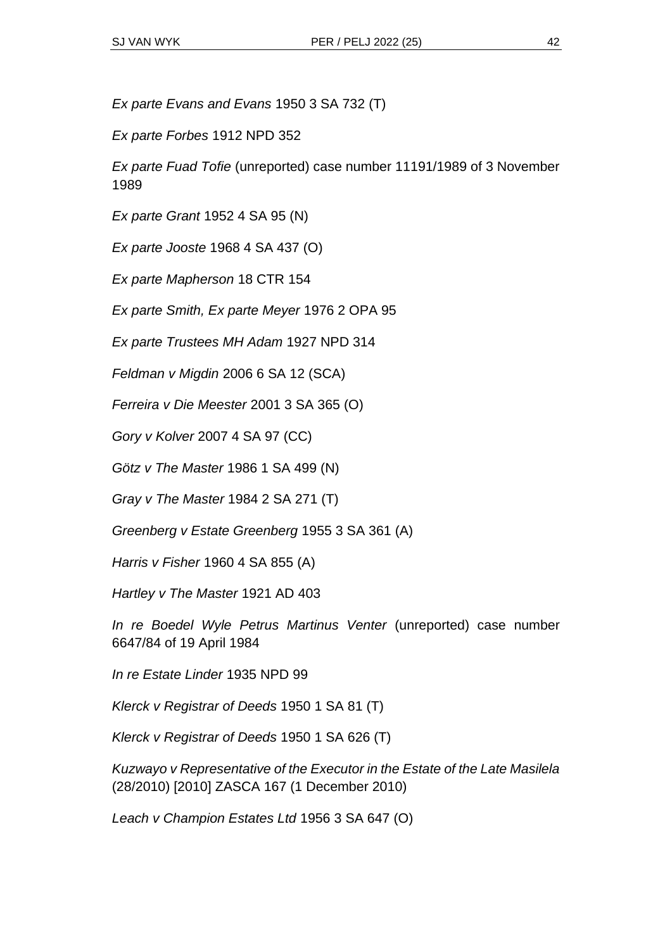*Ex parte Evans and Evans* 1950 3 SA 732 (T)

*Ex parte Forbes* 1912 NPD 352

*Ex parte Fuad Tofie* (unreported) case number 11191/1989 of 3 November 1989

*Ex parte Grant* 1952 4 SA 95 (N)

*Ex parte Jooste* 1968 4 SA 437 (O)

*Ex parte Mapherson* 18 CTR 154

*Ex parte Smith, Ex parte Meyer* 1976 2 OPA 95

*Ex parte Trustees MH Adam* 1927 NPD 314

*Feldman v Migdin* 2006 6 SA 12 (SCA)

*Ferreira v Die Meester* 2001 3 SA 365 (O)

*Gory v Kolver* 2007 4 SA 97 (CC)

*Götz v The Master* 1986 1 SA 499 (N)

*Gray v The Master* 1984 2 SA 271 (T)

*Greenberg v Estate Greenberg* 1955 3 SA 361 (A)

*Harris v Fisher* 1960 4 SA 855 (A)

*Hartley v The Master* 1921 AD 403

*In re Boedel Wyle Petrus Martinus Venter* (unreported) case number 6647/84 of 19 April 1984

*In re Estate Linder* 1935 NPD 99

*Klerck v Registrar of Deeds* 1950 1 SA 81 (T)

*Klerck v Registrar of Deeds* 1950 1 SA 626 (T)

*Kuzwayo v Representative of the Executor in the Estate of the Late Masilela* (28/2010) [2010] ZASCA 167 (1 December 2010)

*Leach v Champion Estates Ltd* 1956 3 SA 647 (O)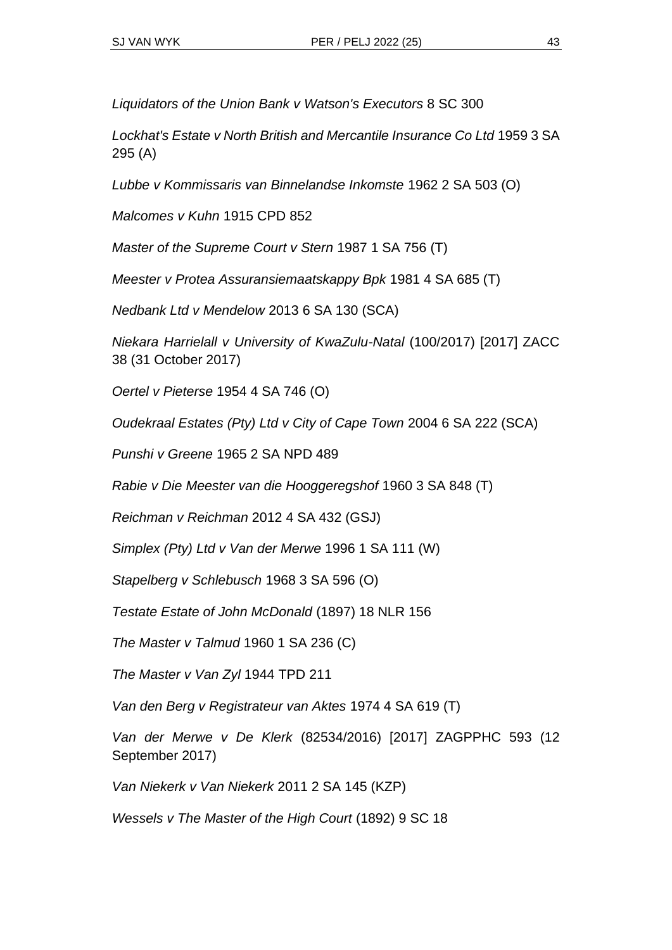*Liquidators of the Union Bank v Watson's Executors* 8 SC 300

*Lockhat's Estate v North British and Mercantile Insurance Co Ltd* 1959 3 SA 295 (A)

*Lubbe v Kommissaris van Binnelandse Inkomste* 1962 2 SA 503 (O)

*Malcomes v Kuhn* 1915 CPD 852

*Master of the Supreme Court v Stern* 1987 1 SA 756 (T)

*Meester v Protea Assuransiemaatskappy Bpk* 1981 4 SA 685 (T)

*Nedbank Ltd v Mendelow* 2013 6 SA 130 (SCA)

*Niekara Harrielall v University of KwaZulu-Natal* (100/2017) [2017] ZACC 38 (31 October 2017)

*Oertel v Pieterse* 1954 4 SA 746 (O)

*Oudekraal Estates (Pty) Ltd v City of Cape Town* 2004 6 SA 222 (SCA)

*Punshi v Greene* 1965 2 SA NPD 489

*Rabie v Die Meester van die Hooggeregshof* 1960 3 SA 848 (T)

*Reichman v Reichman* 2012 4 SA 432 (GSJ)

*Simplex (Pty) Ltd v Van der Merwe* 1996 1 SA 111 (W)

*Stapelberg v Schlebusch* 1968 3 SA 596 (O)

*Testate Estate of John McDonald* (1897) 18 NLR 156

*The Master v Talmud* 1960 1 SA 236 (C)

*The Master v Van Zyl* 1944 TPD 211

*Van den Berg v Registrateur van Aktes* 1974 4 SA 619 (T)

*Van der Merwe v De Klerk* (82534/2016) [2017] ZAGPPHC 593 (12 September 2017)

*Van Niekerk v Van Niekerk* 2011 2 SA 145 (KZP)

*Wessels v The Master of the High Court* (1892) 9 SC 18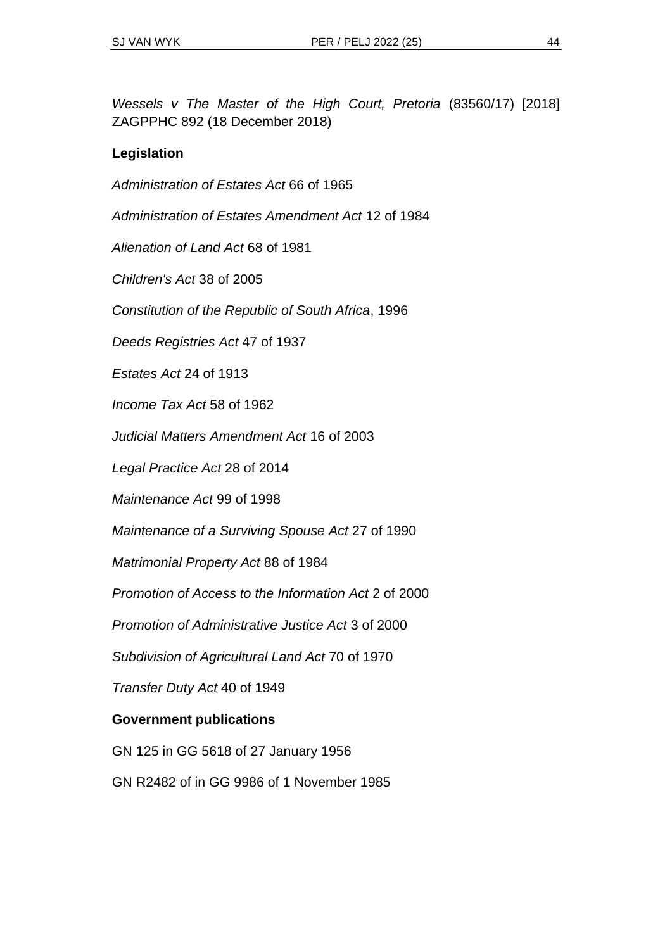*Wessels v The Master of the High Court, Pretoria* (83560/17) [2018] ZAGPPHC 892 (18 December 2018)

#### **Legislation**

*Administration of Estates Act* 66 of 1965

*Administration of Estates Amendment Act* 12 of 1984

*Alienation of Land Act* 68 of 1981

*Children's Act* 38 of 2005

*Constitution of the Republic of South Africa*, 1996

*Deeds Registries Act* 47 of 1937

*Estates Act* 24 of 1913

*Income Tax Act* 58 of 1962

*Judicial Matters Amendment Act* 16 of 2003

*Legal Practice Act* 28 of 2014

*Maintenance Act* 99 of 1998

*Maintenance of a Surviving Spouse Act* 27 of 1990

*Matrimonial Property Act* 88 of 1984

*Promotion of Access to the Information Act* 2 of 2000

*Promotion of Administrative Justice Act* 3 of 2000

*Subdivision of Agricultural Land Act* 70 of 1970

*Transfer Duty Act* 40 of 1949

#### **Government publications**

GN 125 in GG 5618 of 27 January 1956

GN R2482 of in GG 9986 of 1 November 1985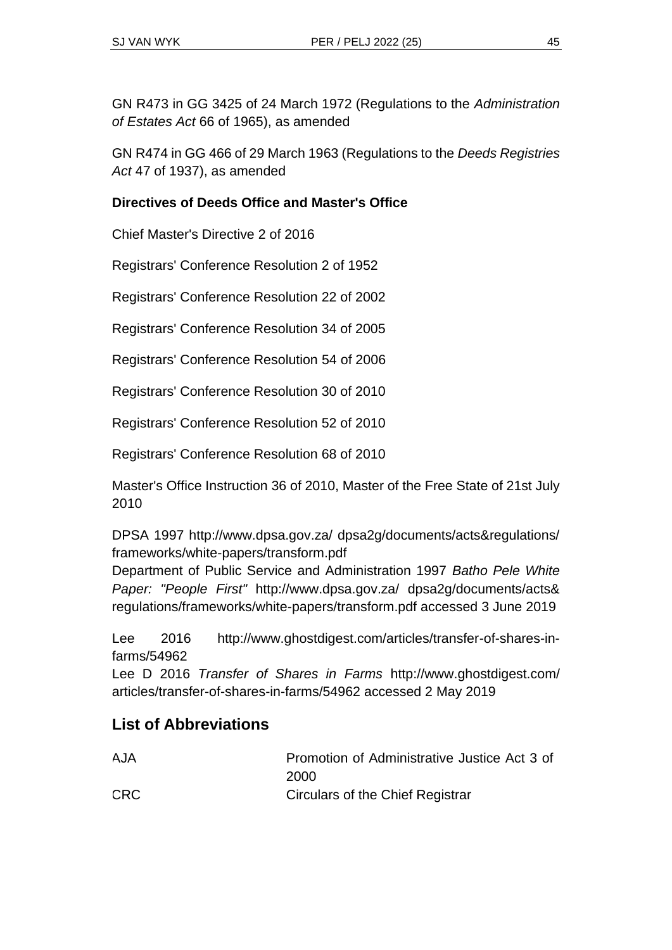GN R473 in GG 3425 of 24 March 1972 (Regulations to the *Administration of Estates Act* 66 of 1965), as amended

GN R474 in GG 466 of 29 March 1963 (Regulations to the *Deeds Registries Act* 47 of 1937), as amended

#### **Directives of Deeds Office and Master's Office**

Chief Master's Directive 2 of 2016

Registrars' Conference Resolution 2 of 1952

Registrars' Conference Resolution 22 of 2002

Registrars' Conference Resolution 34 of 2005

Registrars' Conference Resolution 54 of 2006

Registrars' Conference Resolution 30 of 2010

Registrars' Conference Resolution 52 of 2010

Registrars' Conference Resolution 68 of 2010

Master's Office Instruction 36 of 2010, Master of the Free State of 21st July 2010

DPSA 1997 http://www.dpsa.gov.za/ dpsa2g/documents/acts&regulations/ frameworks/white-papers/transform.pdf

Department of Public Service and Administration 1997 *Batho Pele White Paper: "People First"* http://www.dpsa.gov.za/ dpsa2g/documents/acts& regulations/frameworks/white-papers/transform.pdf accessed 3 June 2019

Lee 2016 http://www.ghostdigest.com/articles/transfer-of-shares-infarms/54962

Lee D 2016 *Transfer of Shares in Farms* http://www.ghostdigest.com/ articles/transfer-of-shares-in-farms/54962 accessed 2 May 2019

# **List of Abbreviations**

| <b>AJA</b> | Promotion of Administrative Justice Act 3 of |  |  |  |
|------------|----------------------------------------------|--|--|--|
|            | 2000                                         |  |  |  |
| <b>CRC</b> | Circulars of the Chief Registrar             |  |  |  |